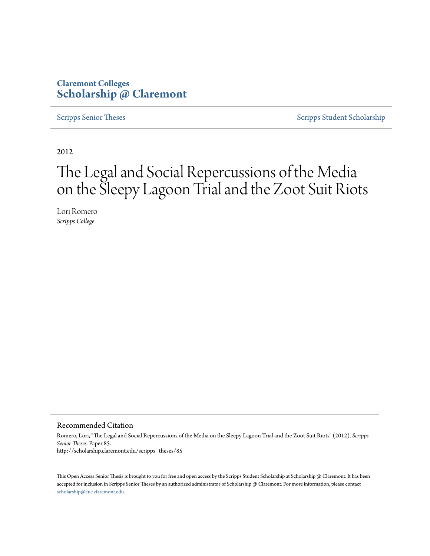## **Claremont Colleges [Scholarship @ Claremont](http://scholarship.claremont.edu)**

[Scripps Senior Theses](http://scholarship.claremont.edu/scripps_theses) [Scripps Student Scholarship](http://scholarship.claremont.edu/scripps_student)

2012

# The Legal and Social Repercussions of the Media on the Sleepy Lagoon Trial and the Zoot Suit Riots

Lori Romero *Scripps College*

#### Recommended Citation

Romero, Lori, "The Legal and Social Repercussions of the Media on the Sleepy Lagoon Trial and the Zoot Suit Riots" (2012). *Scripps Senior Theses.* Paper 85. http://scholarship.claremont.edu/scripps\_theses/85

This Open Access Senior Thesis is brought to you for free and open access by the Scripps Student Scholarship at Scholarship @ Claremont. It has been accepted for inclusion in Scripps Senior Theses by an authorized administrator of Scholarship @ Claremont. For more information, please contact [scholarship@cuc.claremont.edu.](mailto:scholarship@cuc.claremont.edu)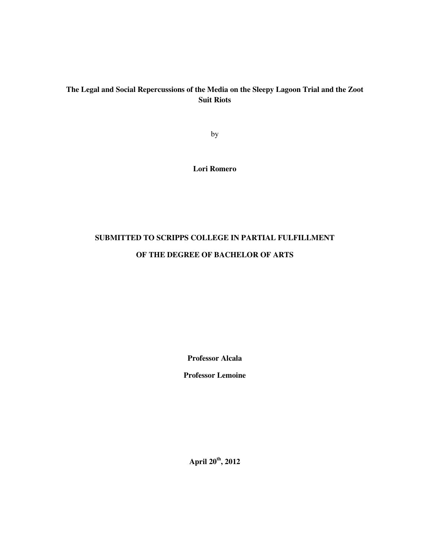## **The Legal and Social Repercussions of the Media on the Sleepy Lagoon Trial and the Zoot Suit Riots**

by

**Lori Romero** 

## **SUBMITTED TO SCRIPPS COLLEGE IN PARTIAL FULFILLMENT**

## **OF THE DEGREE OF BACHELOR OF ARTS**

**Professor Alcala** 

**Professor Lemoine** 

**April 20th, 2012**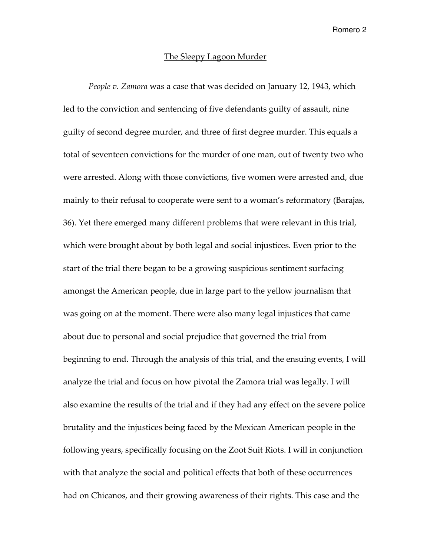#### The Sleepy Lagoon Murder

People v. Zamora was a case that was decided on January 12, 1943, which led to the conviction and sentencing of five defendants guilty of assault, nine guilty of second degree murder, and three of first degree murder. This equals a total of seventeen convictions for the murder of one man, out of twenty two who were arrested. Along with those convictions, five women were arrested and, due mainly to their refusal to cooperate were sent to a woman's reformatory (Barajas, 36). Yet there emerged many different problems that were relevant in this trial, which were brought about by both legal and social injustices. Even prior to the start of the trial there began to be a growing suspicious sentiment surfacing amongst the American people, due in large part to the yellow journalism that was going on at the moment. There were also many legal injustices that came about due to personal and social prejudice that governed the trial from beginning to end. Through the analysis of this trial, and the ensuing events, I will analyze the trial and focus on how pivotal the Zamora trial was legally. I will also examine the results of the trial and if they had any effect on the severe police brutality and the injustices being faced by the Mexican American people in the following years, specifically focusing on the Zoot Suit Riots. I will in conjunction with that analyze the social and political effects that both of these occurrences had on Chicanos, and their growing awareness of their rights. This case and the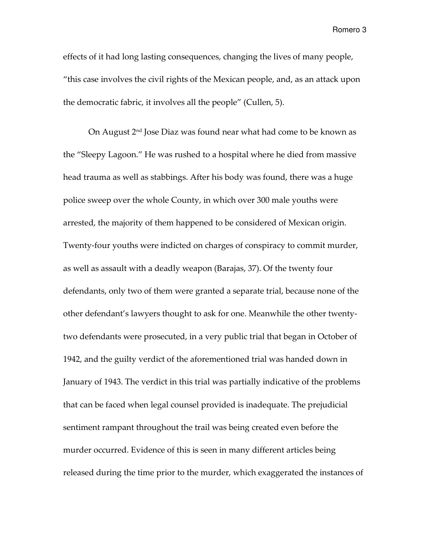effects of it had long lasting consequences, changing the lives of many people, "this case involves the civil rights of the Mexican people, and, as an attack upon the democratic fabric, it involves all the people" (Cullen, 5).

On August 2nd Jose Diaz was found near what had come to be known as the "Sleepy Lagoon." He was rushed to a hospital where he died from massive head trauma as well as stabbings. After his body was found, there was a huge police sweep over the whole County, in which over 300 male youths were arrested, the majority of them happened to be considered of Mexican origin. Twenty-four youths were indicted on charges of conspiracy to commit murder, as well as assault with a deadly weapon (Barajas, 37). Of the twenty four defendants, only two of them were granted a separate trial, because none of the other defendant's lawyers thought to ask for one. Meanwhile the other twentytwo defendants were prosecuted, in a very public trial that began in October of 1942, and the guilty verdict of the aforementioned trial was handed down in January of 1943. The verdict in this trial was partially indicative of the problems that can be faced when legal counsel provided is inadequate. The prejudicial sentiment rampant throughout the trail was being created even before the murder occurred. Evidence of this is seen in many different articles being released during the time prior to the murder, which exaggerated the instances of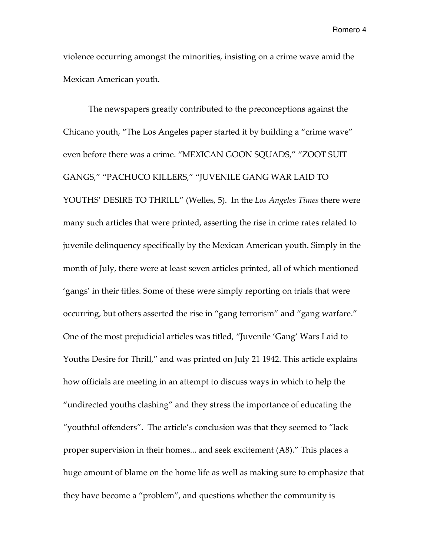violence occurring amongst the minorities, insisting on a crime wave amid the Mexican American youth.

The newspapers greatly contributed to the preconceptions against the Chicano youth, "The Los Angeles paper started it by building a "crime wave" even before there was a crime. "MEXICAN GOON SQUADS," "ZOOT SUIT GANGS," "PACHUCO KILLERS," "JUVENILE GANG WAR LAID TO YOUTHS' DESIRE TO THRILL" (Welles, 5). In the Los Angeles Times there were many such articles that were printed, asserting the rise in crime rates related to juvenile delinquency specifically by the Mexican American youth. Simply in the month of July, there were at least seven articles printed, all of which mentioned 'gangs' in their titles. Some of these were simply reporting on trials that were occurring, but others asserted the rise in "gang terrorism" and "gang warfare." One of the most prejudicial articles was titled, "Juvenile 'Gang' Wars Laid to Youths Desire for Thrill," and was printed on July 21 1942. This article explains how officials are meeting in an attempt to discuss ways in which to help the "undirected youths clashing" and they stress the importance of educating the "youthful offenders". The article's conclusion was that they seemed to "lack proper supervision in their homes... and seek excitement (A8)." This places a huge amount of blame on the home life as well as making sure to emphasize that they have become a "problem", and questions whether the community is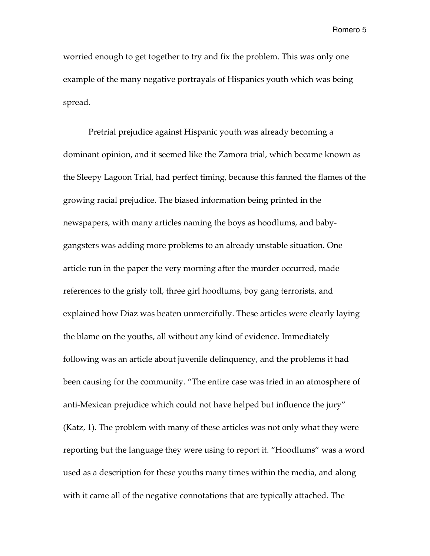worried enough to get together to try and fix the problem. This was only one example of the many negative portrayals of Hispanics youth which was being spread.

Pretrial prejudice against Hispanic youth was already becoming a dominant opinion, and it seemed like the Zamora trial, which became known as the Sleepy Lagoon Trial, had perfect timing, because this fanned the flames of the growing racial prejudice. The biased information being printed in the newspapers, with many articles naming the boys as hoodlums, and babygangsters was adding more problems to an already unstable situation. One article run in the paper the very morning after the murder occurred, made references to the grisly toll, three girl hoodlums, boy gang terrorists, and explained how Diaz was beaten unmercifully. These articles were clearly laying the blame on the youths, all without any kind of evidence. Immediately following was an article about juvenile delinquency, and the problems it had been causing for the community. "The entire case was tried in an atmosphere of anti-Mexican prejudice which could not have helped but influence the jury" (Katz, 1). The problem with many of these articles was not only what they were reporting but the language they were using to report it. "Hoodlums" was a word used as a description for these youths many times within the media, and along with it came all of the negative connotations that are typically attached. The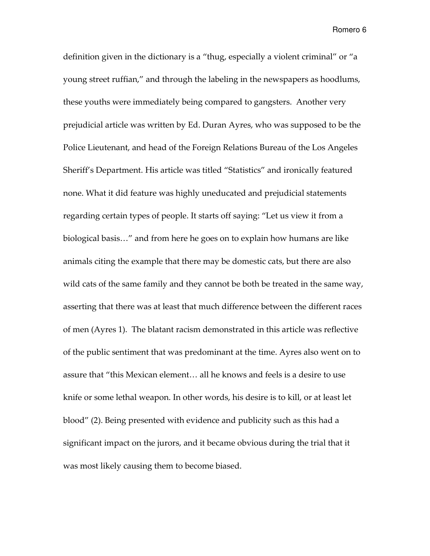definition given in the dictionary is a "thug, especially a violent criminal" or "a young street ruffian," and through the labeling in the newspapers as hoodlums, these youths were immediately being compared to gangsters. Another very prejudicial article was written by Ed. Duran Ayres, who was supposed to be the Police Lieutenant, and head of the Foreign Relations Bureau of the Los Angeles Sheriff's Department. His article was titled "Statistics" and ironically featured none. What it did feature was highly uneducated and prejudicial statements regarding certain types of people. It starts off saying: "Let us view it from a biological basis…" and from here he goes on to explain how humans are like animals citing the example that there may be domestic cats, but there are also wild cats of the same family and they cannot be both be treated in the same way, asserting that there was at least that much difference between the different races of men (Ayres 1). The blatant racism demonstrated in this article was reflective of the public sentiment that was predominant at the time. Ayres also went on to assure that "this Mexican element… all he knows and feels is a desire to use knife or some lethal weapon. In other words, his desire is to kill, or at least let blood" (2). Being presented with evidence and publicity such as this had a significant impact on the jurors, and it became obvious during the trial that it was most likely causing them to become biased.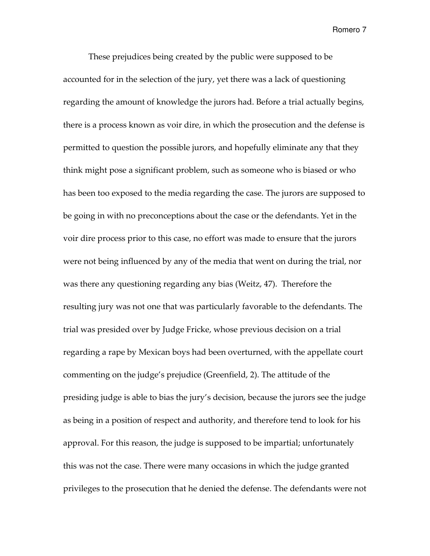These prejudices being created by the public were supposed to be accounted for in the selection of the jury, yet there was a lack of questioning regarding the amount of knowledge the jurors had. Before a trial actually begins, there is a process known as voir dire, in which the prosecution and the defense is permitted to question the possible jurors, and hopefully eliminate any that they think might pose a significant problem, such as someone who is biased or who has been too exposed to the media regarding the case. The jurors are supposed to be going in with no preconceptions about the case or the defendants. Yet in the voir dire process prior to this case, no effort was made to ensure that the jurors were not being influenced by any of the media that went on during the trial, nor was there any questioning regarding any bias (Weitz, 47). Therefore the resulting jury was not one that was particularly favorable to the defendants. The trial was presided over by Judge Fricke, whose previous decision on a trial regarding a rape by Mexican boys had been overturned, with the appellate court commenting on the judge's prejudice (Greenfield, 2). The attitude of the presiding judge is able to bias the jury's decision, because the jurors see the judge as being in a position of respect and authority, and therefore tend to look for his approval. For this reason, the judge is supposed to be impartial; unfortunately this was not the case. There were many occasions in which the judge granted privileges to the prosecution that he denied the defense. The defendants were not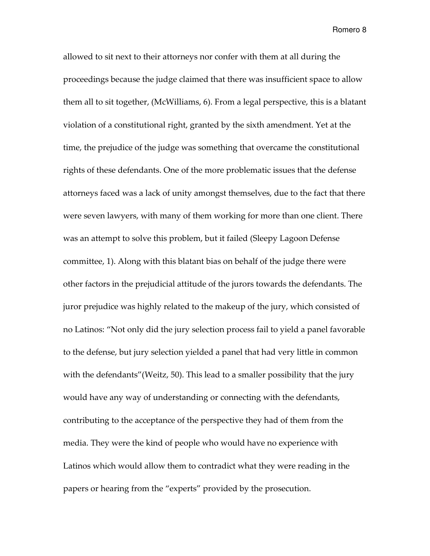allowed to sit next to their attorneys nor confer with them at all during the proceedings because the judge claimed that there was insufficient space to allow them all to sit together, (McWilliams, 6). From a legal perspective, this is a blatant violation of a constitutional right, granted by the sixth amendment. Yet at the time, the prejudice of the judge was something that overcame the constitutional rights of these defendants. One of the more problematic issues that the defense attorneys faced was a lack of unity amongst themselves, due to the fact that there were seven lawyers, with many of them working for more than one client. There was an attempt to solve this problem, but it failed (Sleepy Lagoon Defense committee, 1). Along with this blatant bias on behalf of the judge there were other factors in the prejudicial attitude of the jurors towards the defendants. The juror prejudice was highly related to the makeup of the jury, which consisted of no Latinos: "Not only did the jury selection process fail to yield a panel favorable to the defense, but jury selection yielded a panel that had very little in common with the defendants" (Weitz, 50). This lead to a smaller possibility that the jury would have any way of understanding or connecting with the defendants, contributing to the acceptance of the perspective they had of them from the media. They were the kind of people who would have no experience with Latinos which would allow them to contradict what they were reading in the papers or hearing from the "experts" provided by the prosecution.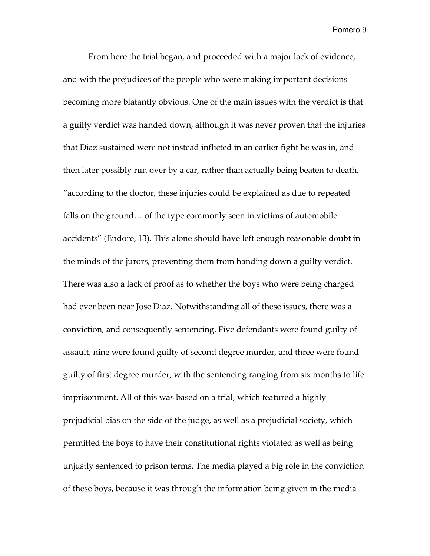From here the trial began, and proceeded with a major lack of evidence, and with the prejudices of the people who were making important decisions becoming more blatantly obvious. One of the main issues with the verdict is that a guilty verdict was handed down, although it was never proven that the injuries that Diaz sustained were not instead inflicted in an earlier fight he was in, and then later possibly run over by a car, rather than actually being beaten to death, "according to the doctor, these injuries could be explained as due to repeated falls on the ground… of the type commonly seen in victims of automobile accidents" (Endore, 13). This alone should have left enough reasonable doubt in the minds of the jurors, preventing them from handing down a guilty verdict. There was also a lack of proof as to whether the boys who were being charged had ever been near Jose Diaz. Notwithstanding all of these issues, there was a conviction, and consequently sentencing. Five defendants were found guilty of assault, nine were found guilty of second degree murder, and three were found guilty of first degree murder, with the sentencing ranging from six months to life imprisonment. All of this was based on a trial, which featured a highly prejudicial bias on the side of the judge, as well as a prejudicial society, which permitted the boys to have their constitutional rights violated as well as being unjustly sentenced to prison terms. The media played a big role in the conviction of these boys, because it was through the information being given in the media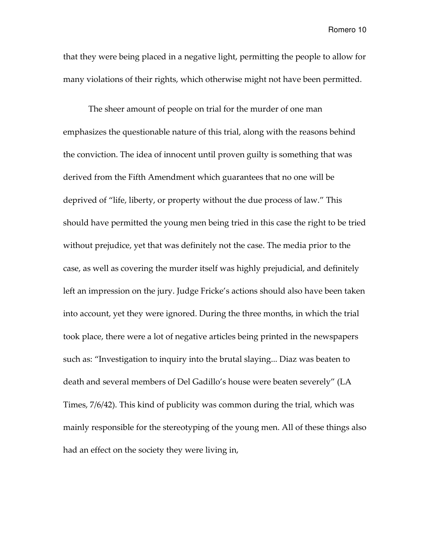that they were being placed in a negative light, permitting the people to allow for many violations of their rights, which otherwise might not have been permitted.

The sheer amount of people on trial for the murder of one man emphasizes the questionable nature of this trial, along with the reasons behind the conviction. The idea of innocent until proven guilty is something that was derived from the Fifth Amendment which guarantees that no one will be deprived of "life, liberty, or property without the due process of law." This should have permitted the young men being tried in this case the right to be tried without prejudice, yet that was definitely not the case. The media prior to the case, as well as covering the murder itself was highly prejudicial, and definitely left an impression on the jury. Judge Fricke's actions should also have been taken into account, yet they were ignored. During the three months, in which the trial took place, there were a lot of negative articles being printed in the newspapers such as: "Investigation to inquiry into the brutal slaying... Diaz was beaten to death and several members of Del Gadillo's house were beaten severely" (LA Times, 7/6/42). This kind of publicity was common during the trial, which was mainly responsible for the stereotyping of the young men. All of these things also had an effect on the society they were living in,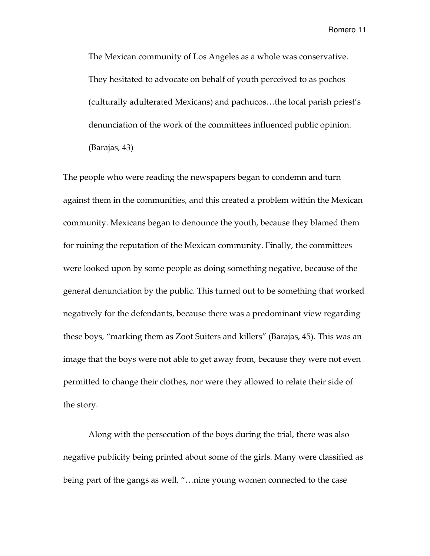The Mexican community of Los Angeles as a whole was conservative. They hesitated to advocate on behalf of youth perceived to as pochos (culturally adulterated Mexicans) and pachucos…the local parish priest's denunciation of the work of the committees influenced public opinion. (Barajas, 43)

The people who were reading the newspapers began to condemn and turn against them in the communities, and this created a problem within the Mexican community. Mexicans began to denounce the youth, because they blamed them for ruining the reputation of the Mexican community. Finally, the committees were looked upon by some people as doing something negative, because of the general denunciation by the public. This turned out to be something that worked negatively for the defendants, because there was a predominant view regarding these boys, "marking them as Zoot Suiters and killers" (Barajas, 45). This was an image that the boys were not able to get away from, because they were not even permitted to change their clothes, nor were they allowed to relate their side of the story.

Along with the persecution of the boys during the trial, there was also negative publicity being printed about some of the girls. Many were classified as being part of the gangs as well, "…nine young women connected to the case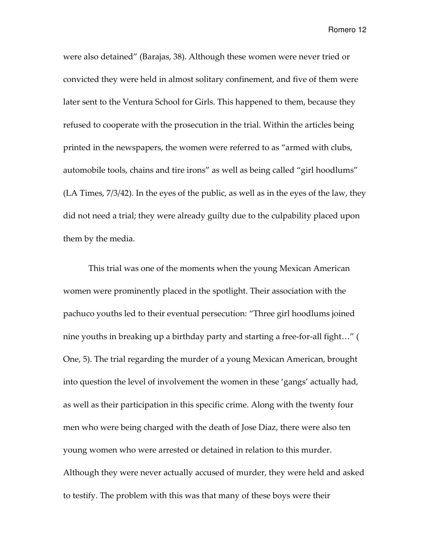were also detained" (Barajas, 38). Although these women were never tried or convicted they were held in almost solitary confinement, and five of them were later sent to the Ventura School for Girls. This happened to them, because they refused to cooperate with the prosecution in the trial. Within the articles being printed in the newspapers, the women were referred to as "armed with clubs, automobile tools, chains and tire irons" as well as being called "girl hoodlums" (LA Times, 7/3/42). In the eyes of the public, as well as in the eyes of the law, they did not need a trial; they were already guilty due to the culpability placed upon them by the media.

This trial was one of the moments when the young Mexican American women were prominently placed in the spotlight. Their association with the pachuco youths led to their eventual persecution: "Three girl hoodlums joined nine youths in breaking up a birthday party and starting a free-for-all fight…" ( One, 5). The trial regarding the murder of a young Mexican American, brought into question the level of involvement the women in these 'gangs' actually had, as well as their participation in this specific crime. Along with the twenty four men who were being charged with the death of Jose Diaz, there were also ten young women who were arrested or detained in relation to this murder. Although they were never actually accused of murder, they were held and asked to testify. The problem with this was that many of these boys were their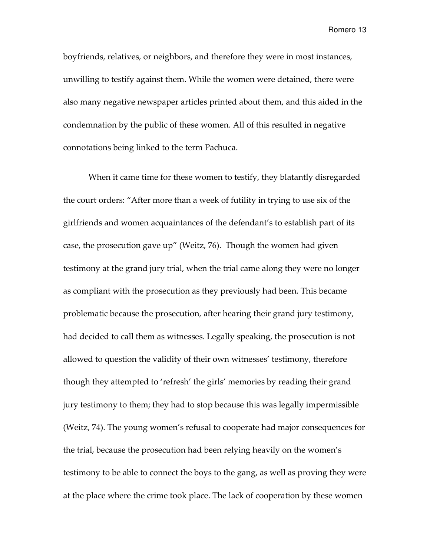boyfriends, relatives, or neighbors, and therefore they were in most instances, unwilling to testify against them. While the women were detained, there were also many negative newspaper articles printed about them, and this aided in the condemnation by the public of these women. All of this resulted in negative connotations being linked to the term Pachuca.

When it came time for these women to testify, they blatantly disregarded the court orders: "After more than a week of futility in trying to use six of the girlfriends and women acquaintances of the defendant's to establish part of its case, the prosecution gave up" (Weitz, 76). Though the women had given testimony at the grand jury trial, when the trial came along they were no longer as compliant with the prosecution as they previously had been. This became problematic because the prosecution, after hearing their grand jury testimony, had decided to call them as witnesses. Legally speaking, the prosecution is not allowed to question the validity of their own witnesses' testimony, therefore though they attempted to 'refresh' the girls' memories by reading their grand jury testimony to them; they had to stop because this was legally impermissible (Weitz, 74). The young women's refusal to cooperate had major consequences for the trial, because the prosecution had been relying heavily on the women's testimony to be able to connect the boys to the gang, as well as proving they were at the place where the crime took place. The lack of cooperation by these women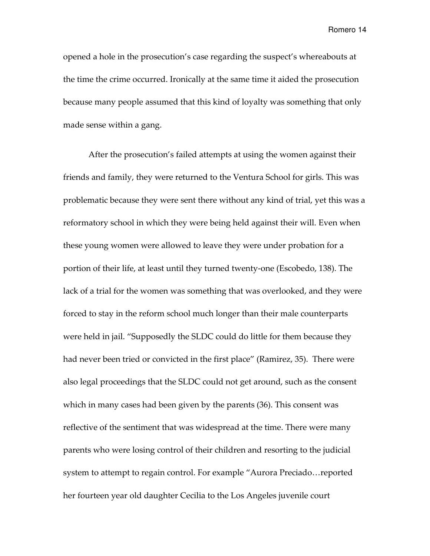opened a hole in the prosecution's case regarding the suspect's whereabouts at the time the crime occurred. Ironically at the same time it aided the prosecution because many people assumed that this kind of loyalty was something that only made sense within a gang.

After the prosecution's failed attempts at using the women against their friends and family, they were returned to the Ventura School for girls. This was problematic because they were sent there without any kind of trial, yet this was a reformatory school in which they were being held against their will. Even when these young women were allowed to leave they were under probation for a portion of their life, at least until they turned twenty-one (Escobedo, 138). The lack of a trial for the women was something that was overlooked, and they were forced to stay in the reform school much longer than their male counterparts were held in jail. "Supposedly the SLDC could do little for them because they had never been tried or convicted in the first place" (Ramirez, 35). There were also legal proceedings that the SLDC could not get around, such as the consent which in many cases had been given by the parents (36). This consent was reflective of the sentiment that was widespread at the time. There were many parents who were losing control of their children and resorting to the judicial system to attempt to regain control. For example "Aurora Preciado…reported her fourteen year old daughter Cecilia to the Los Angeles juvenile court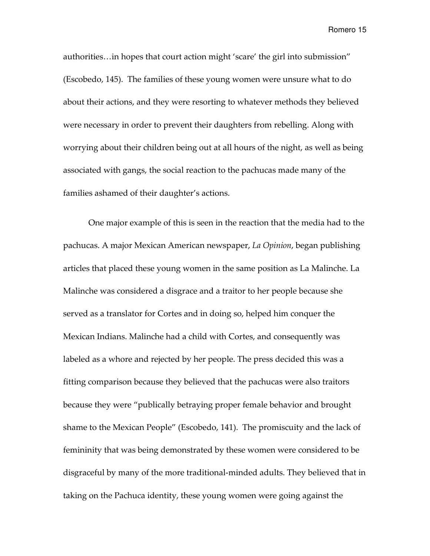authorities…in hopes that court action might 'scare' the girl into submission" (Escobedo, 145). The families of these young women were unsure what to do about their actions, and they were resorting to whatever methods they believed were necessary in order to prevent their daughters from rebelling. Along with worrying about their children being out at all hours of the night, as well as being associated with gangs, the social reaction to the pachucas made many of the families ashamed of their daughter's actions.

One major example of this is seen in the reaction that the media had to the pachucas. A major Mexican American newspaper, La Opinion, began publishing articles that placed these young women in the same position as La Malinche. La Malinche was considered a disgrace and a traitor to her people because she served as a translator for Cortes and in doing so, helped him conquer the Mexican Indians. Malinche had a child with Cortes, and consequently was labeled as a whore and rejected by her people. The press decided this was a fitting comparison because they believed that the pachucas were also traitors because they were "publically betraying proper female behavior and brought shame to the Mexican People" (Escobedo, 141). The promiscuity and the lack of femininity that was being demonstrated by these women were considered to be disgraceful by many of the more traditional-minded adults. They believed that in taking on the Pachuca identity, these young women were going against the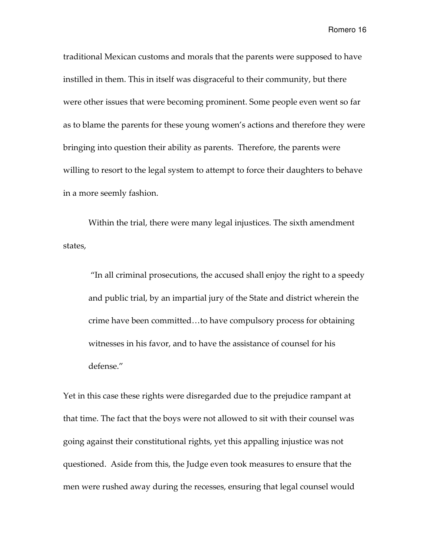traditional Mexican customs and morals that the parents were supposed to have instilled in them. This in itself was disgraceful to their community, but there were other issues that were becoming prominent. Some people even went so far as to blame the parents for these young women's actions and therefore they were bringing into question their ability as parents. Therefore, the parents were willing to resort to the legal system to attempt to force their daughters to behave in a more seemly fashion.

Within the trial, there were many legal injustices. The sixth amendment states,

 "In all criminal prosecutions, the accused shall enjoy the right to a speedy and public trial, by an impartial jury of the State and district wherein the crime have been committed…to have compulsory process for obtaining witnesses in his favor, and to have the assistance of counsel for his defense."

Yet in this case these rights were disregarded due to the prejudice rampant at that time. The fact that the boys were not allowed to sit with their counsel was going against their constitutional rights, yet this appalling injustice was not questioned. Aside from this, the Judge even took measures to ensure that the men were rushed away during the recesses, ensuring that legal counsel would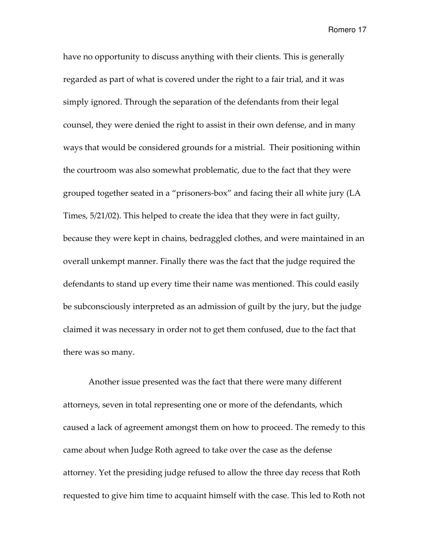have no opportunity to discuss anything with their clients. This is generally regarded as part of what is covered under the right to a fair trial, and it was simply ignored. Through the separation of the defendants from their legal counsel, they were denied the right to assist in their own defense, and in many ways that would be considered grounds for a mistrial. Their positioning within the courtroom was also somewhat problematic, due to the fact that they were grouped together seated in a "prisoners-box" and facing their all white jury (LA Times, 5/21/02). This helped to create the idea that they were in fact guilty, because they were kept in chains, bedraggled clothes, and were maintained in an overall unkempt manner. Finally there was the fact that the judge required the defendants to stand up every time their name was mentioned. This could easily be subconsciously interpreted as an admission of guilt by the jury, but the judge claimed it was necessary in order not to get them confused, due to the fact that there was so many.

Another issue presented was the fact that there were many different attorneys, seven in total representing one or more of the defendants, which caused a lack of agreement amongst them on how to proceed. The remedy to this came about when Judge Roth agreed to take over the case as the defense attorney. Yet the presiding judge refused to allow the three day recess that Roth requested to give him time to acquaint himself with the case. This led to Roth not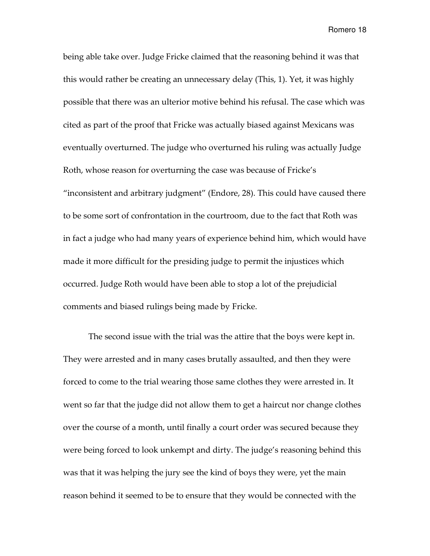being able take over. Judge Fricke claimed that the reasoning behind it was that this would rather be creating an unnecessary delay (This, 1). Yet, it was highly possible that there was an ulterior motive behind his refusal. The case which was cited as part of the proof that Fricke was actually biased against Mexicans was eventually overturned. The judge who overturned his ruling was actually Judge Roth, whose reason for overturning the case was because of Fricke's "inconsistent and arbitrary judgment" (Endore, 28). This could have caused there to be some sort of confrontation in the courtroom, due to the fact that Roth was in fact a judge who had many years of experience behind him, which would have made it more difficult for the presiding judge to permit the injustices which occurred. Judge Roth would have been able to stop a lot of the prejudicial comments and biased rulings being made by Fricke.

The second issue with the trial was the attire that the boys were kept in. They were arrested and in many cases brutally assaulted, and then they were forced to come to the trial wearing those same clothes they were arrested in. It went so far that the judge did not allow them to get a haircut nor change clothes over the course of a month, until finally a court order was secured because they were being forced to look unkempt and dirty. The judge's reasoning behind this was that it was helping the jury see the kind of boys they were, yet the main reason behind it seemed to be to ensure that they would be connected with the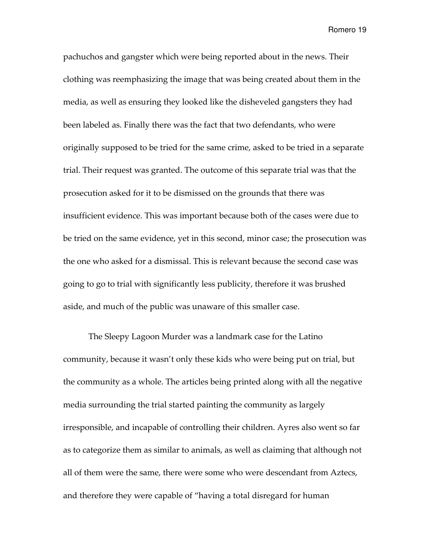pachuchos and gangster which were being reported about in the news. Their clothing was reemphasizing the image that was being created about them in the media, as well as ensuring they looked like the disheveled gangsters they had been labeled as. Finally there was the fact that two defendants, who were originally supposed to be tried for the same crime, asked to be tried in a separate trial. Their request was granted. The outcome of this separate trial was that the prosecution asked for it to be dismissed on the grounds that there was insufficient evidence. This was important because both of the cases were due to be tried on the same evidence, yet in this second, minor case; the prosecution was the one who asked for a dismissal. This is relevant because the second case was going to go to trial with significantly less publicity, therefore it was brushed aside, and much of the public was unaware of this smaller case.

The Sleepy Lagoon Murder was a landmark case for the Latino community, because it wasn't only these kids who were being put on trial, but the community as a whole. The articles being printed along with all the negative media surrounding the trial started painting the community as largely irresponsible, and incapable of controlling their children. Ayres also went so far as to categorize them as similar to animals, as well as claiming that although not all of them were the same, there were some who were descendant from Aztecs, and therefore they were capable of "having a total disregard for human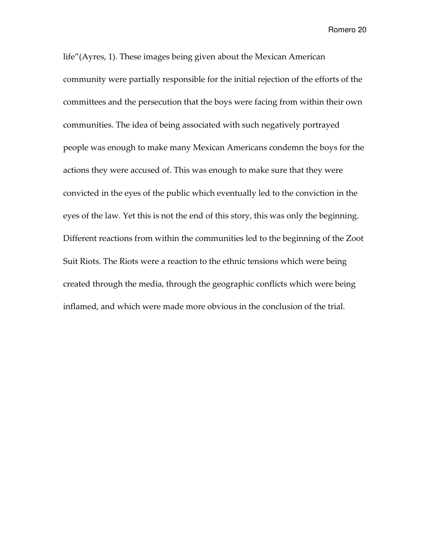life"(Ayres, 1). These images being given about the Mexican American community were partially responsible for the initial rejection of the efforts of the committees and the persecution that the boys were facing from within their own communities. The idea of being associated with such negatively portrayed people was enough to make many Mexican Americans condemn the boys for the actions they were accused of. This was enough to make sure that they were convicted in the eyes of the public which eventually led to the conviction in the eyes of the law. Yet this is not the end of this story, this was only the beginning. Different reactions from within the communities led to the beginning of the Zoot Suit Riots. The Riots were a reaction to the ethnic tensions which were being created through the media, through the geographic conflicts which were being inflamed, and which were made more obvious in the conclusion of the trial.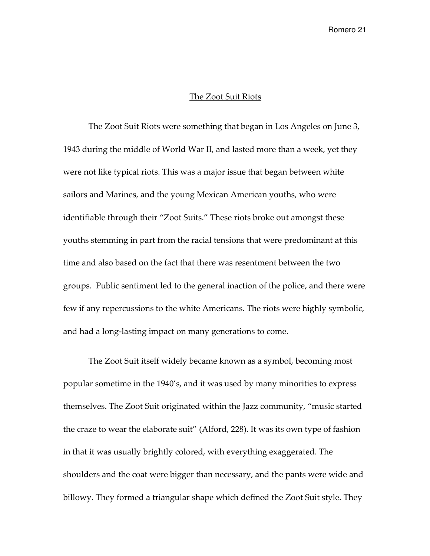#### The Zoot Suit Riots

The Zoot Suit Riots were something that began in Los Angeles on June 3, 1943 during the middle of World War II, and lasted more than a week, yet they were not like typical riots. This was a major issue that began between white sailors and Marines, and the young Mexican American youths, who were identifiable through their "Zoot Suits." These riots broke out amongst these youths stemming in part from the racial tensions that were predominant at this time and also based on the fact that there was resentment between the two groups. Public sentiment led to the general inaction of the police, and there were few if any repercussions to the white Americans. The riots were highly symbolic, and had a long-lasting impact on many generations to come.

The Zoot Suit itself widely became known as a symbol, becoming most popular sometime in the 1940's, and it was used by many minorities to express themselves. The Zoot Suit originated within the Jazz community, "music started the craze to wear the elaborate suit" (Alford, 228). It was its own type of fashion in that it was usually brightly colored, with everything exaggerated. The shoulders and the coat were bigger than necessary, and the pants were wide and billowy. They formed a triangular shape which defined the Zoot Suit style. They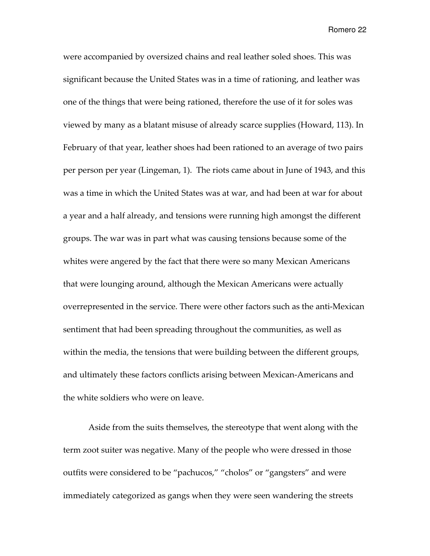were accompanied by oversized chains and real leather soled shoes. This was significant because the United States was in a time of rationing, and leather was one of the things that were being rationed, therefore the use of it for soles was viewed by many as a blatant misuse of already scarce supplies (Howard, 113). In February of that year, leather shoes had been rationed to an average of two pairs per person per year (Lingeman, 1). The riots came about in June of 1943, and this was a time in which the United States was at war, and had been at war for about a year and a half already, and tensions were running high amongst the different groups. The war was in part what was causing tensions because some of the whites were angered by the fact that there were so many Mexican Americans that were lounging around, although the Mexican Americans were actually overrepresented in the service. There were other factors such as the anti-Mexican sentiment that had been spreading throughout the communities, as well as within the media, the tensions that were building between the different groups, and ultimately these factors conflicts arising between Mexican-Americans and the white soldiers who were on leave.

Aside from the suits themselves, the stereotype that went along with the term zoot suiter was negative. Many of the people who were dressed in those outfits were considered to be "pachucos," "cholos" or "gangsters" and were immediately categorized as gangs when they were seen wandering the streets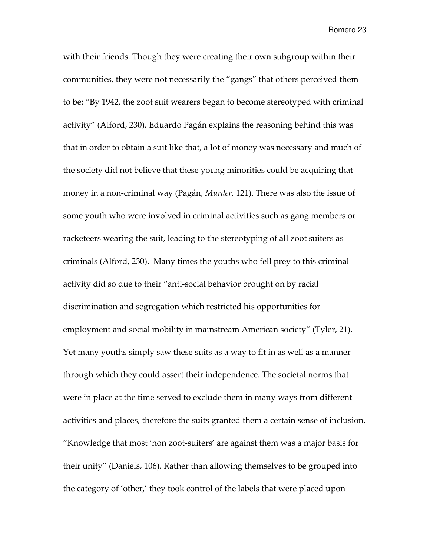with their friends. Though they were creating their own subgroup within their communities, they were not necessarily the "gangs" that others perceived them to be: "By 1942, the zoot suit wearers began to become stereotyped with criminal activity" (Alford, 230). Eduardo Pagán explains the reasoning behind this was that in order to obtain a suit like that, a lot of money was necessary and much of the society did not believe that these young minorities could be acquiring that money in a non-criminal way (Pagán, Murder, 121). There was also the issue of some youth who were involved in criminal activities such as gang members or racketeers wearing the suit, leading to the stereotyping of all zoot suiters as criminals (Alford, 230). Many times the youths who fell prey to this criminal activity did so due to their "anti-social behavior brought on by racial discrimination and segregation which restricted his opportunities for employment and social mobility in mainstream American society" (Tyler, 21). Yet many youths simply saw these suits as a way to fit in as well as a manner through which they could assert their independence. The societal norms that were in place at the time served to exclude them in many ways from different activities and places, therefore the suits granted them a certain sense of inclusion. "Knowledge that most 'non zoot-suiters' are against them was a major basis for their unity" (Daniels, 106). Rather than allowing themselves to be grouped into the category of 'other,' they took control of the labels that were placed upon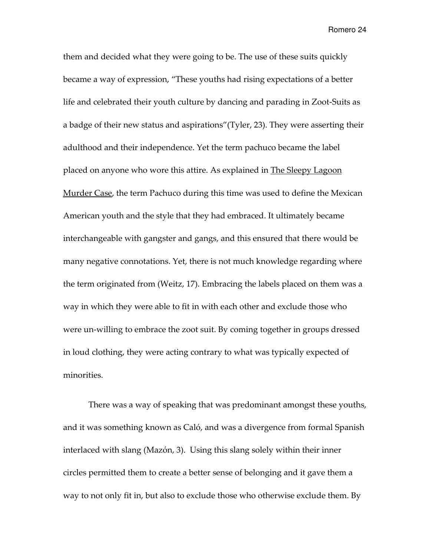them and decided what they were going to be. The use of these suits quickly became a way of expression, "These youths had rising expectations of a better life and celebrated their youth culture by dancing and parading in Zoot-Suits as a badge of their new status and aspirations"(Tyler, 23). They were asserting their adulthood and their independence. Yet the term pachuco became the label placed on anyone who wore this attire. As explained in The Sleepy Lagoon Murder Case, the term Pachuco during this time was used to define the Mexican American youth and the style that they had embraced. It ultimately became interchangeable with gangster and gangs, and this ensured that there would be many negative connotations. Yet, there is not much knowledge regarding where the term originated from (Weitz, 17). Embracing the labels placed on them was a way in which they were able to fit in with each other and exclude those who were un-willing to embrace the zoot suit. By coming together in groups dressed in loud clothing, they were acting contrary to what was typically expected of minorities.

There was a way of speaking that was predominant amongst these youths, and it was something known as Caló, and was a divergence from formal Spanish interlaced with slang (Mazón, 3). Using this slang solely within their inner circles permitted them to create a better sense of belonging and it gave them a way to not only fit in, but also to exclude those who otherwise exclude them. By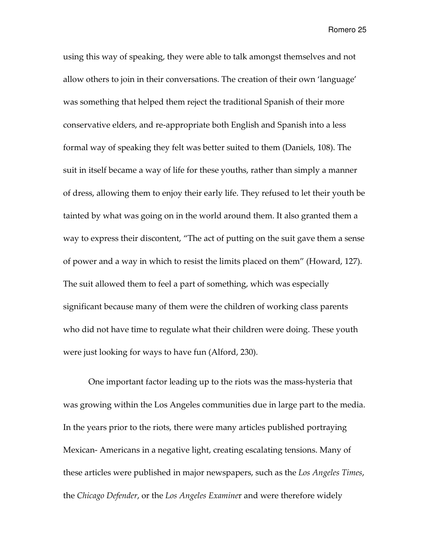using this way of speaking, they were able to talk amongst themselves and not allow others to join in their conversations. The creation of their own 'language' was something that helped them reject the traditional Spanish of their more conservative elders, and re-appropriate both English and Spanish into a less formal way of speaking they felt was better suited to them (Daniels, 108). The suit in itself became a way of life for these youths, rather than simply a manner of dress, allowing them to enjoy their early life. They refused to let their youth be tainted by what was going on in the world around them. It also granted them a way to express their discontent, "The act of putting on the suit gave them a sense of power and a way in which to resist the limits placed on them" (Howard, 127). The suit allowed them to feel a part of something, which was especially significant because many of them were the children of working class parents who did not have time to regulate what their children were doing. These youth were just looking for ways to have fun (Alford, 230).

One important factor leading up to the riots was the mass-hysteria that was growing within the Los Angeles communities due in large part to the media. In the years prior to the riots, there were many articles published portraying Mexican- Americans in a negative light, creating escalating tensions. Many of these articles were published in major newspapers, such as the Los Angeles Times, the Chicago Defender, or the Los Angeles Examiner and were therefore widely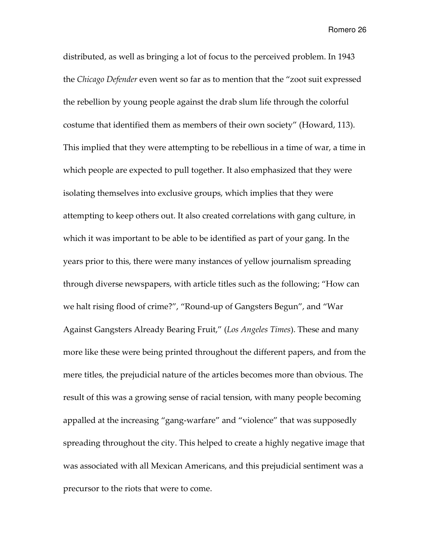distributed, as well as bringing a lot of focus to the perceived problem. In 1943 the Chicago Defender even went so far as to mention that the "zoot suit expressed the rebellion by young people against the drab slum life through the colorful costume that identified them as members of their own society" (Howard, 113). This implied that they were attempting to be rebellious in a time of war, a time in which people are expected to pull together. It also emphasized that they were isolating themselves into exclusive groups, which implies that they were attempting to keep others out. It also created correlations with gang culture, in which it was important to be able to be identified as part of your gang. In the years prior to this, there were many instances of yellow journalism spreading through diverse newspapers, with article titles such as the following; "How can we halt rising flood of crime?", "Round-up of Gangsters Begun", and "War Against Gangsters Already Bearing Fruit," (Los Angeles Times). These and many more like these were being printed throughout the different papers, and from the mere titles, the prejudicial nature of the articles becomes more than obvious. The result of this was a growing sense of racial tension, with many people becoming appalled at the increasing "gang-warfare" and "violence" that was supposedly spreading throughout the city. This helped to create a highly negative image that was associated with all Mexican Americans, and this prejudicial sentiment was a precursor to the riots that were to come.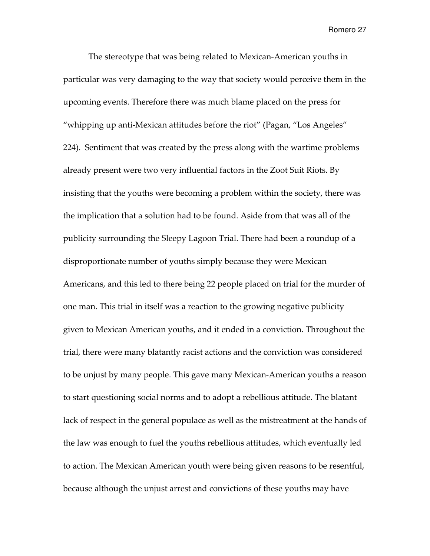The stereotype that was being related to Mexican-American youths in particular was very damaging to the way that society would perceive them in the upcoming events. Therefore there was much blame placed on the press for "whipping up anti-Mexican attitudes before the riot" (Pagan, "Los Angeles" 224). Sentiment that was created by the press along with the wartime problems already present were two very influential factors in the Zoot Suit Riots. By insisting that the youths were becoming a problem within the society, there was the implication that a solution had to be found. Aside from that was all of the publicity surrounding the Sleepy Lagoon Trial. There had been a roundup of a disproportionate number of youths simply because they were Mexican Americans, and this led to there being 22 people placed on trial for the murder of one man. This trial in itself was a reaction to the growing negative publicity given to Mexican American youths, and it ended in a conviction. Throughout the trial, there were many blatantly racist actions and the conviction was considered to be unjust by many people. This gave many Mexican-American youths a reason to start questioning social norms and to adopt a rebellious attitude. The blatant lack of respect in the general populace as well as the mistreatment at the hands of the law was enough to fuel the youths rebellious attitudes, which eventually led to action. The Mexican American youth were being given reasons to be resentful, because although the unjust arrest and convictions of these youths may have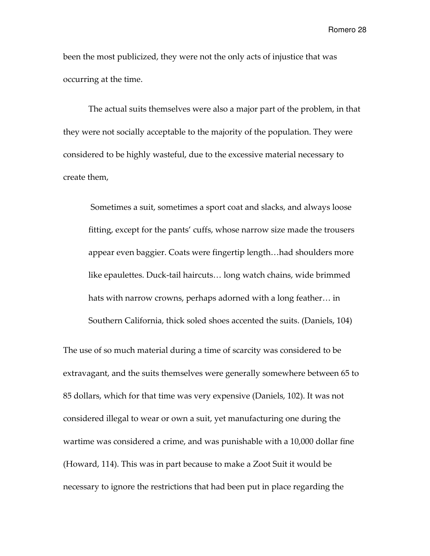been the most publicized, they were not the only acts of injustice that was occurring at the time.

The actual suits themselves were also a major part of the problem, in that they were not socially acceptable to the majority of the population. They were considered to be highly wasteful, due to the excessive material necessary to create them,

 Sometimes a suit, sometimes a sport coat and slacks, and always loose fitting, except for the pants' cuffs, whose narrow size made the trousers appear even baggier. Coats were fingertip length…had shoulders more like epaulettes. Duck-tail haircuts… long watch chains, wide brimmed hats with narrow crowns, perhaps adorned with a long feather… in Southern California, thick soled shoes accented the suits. (Daniels, 104)

The use of so much material during a time of scarcity was considered to be extravagant, and the suits themselves were generally somewhere between 65 to 85 dollars, which for that time was very expensive (Daniels, 102). It was not considered illegal to wear or own a suit, yet manufacturing one during the wartime was considered a crime, and was punishable with a 10,000 dollar fine (Howard, 114). This was in part because to make a Zoot Suit it would be necessary to ignore the restrictions that had been put in place regarding the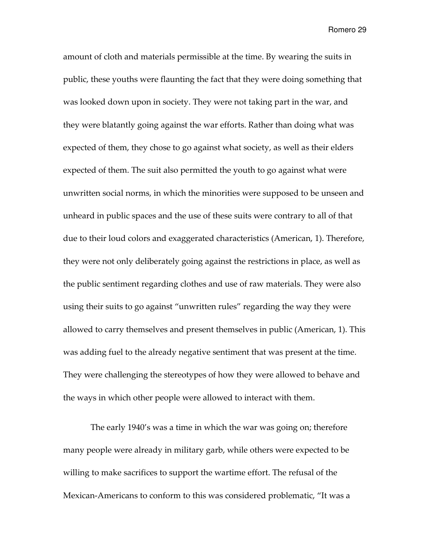amount of cloth and materials permissible at the time. By wearing the suits in public, these youths were flaunting the fact that they were doing something that was looked down upon in society. They were not taking part in the war, and they were blatantly going against the war efforts. Rather than doing what was expected of them, they chose to go against what society, as well as their elders expected of them. The suit also permitted the youth to go against what were unwritten social norms, in which the minorities were supposed to be unseen and unheard in public spaces and the use of these suits were contrary to all of that due to their loud colors and exaggerated characteristics (American, 1). Therefore, they were not only deliberately going against the restrictions in place, as well as the public sentiment regarding clothes and use of raw materials. They were also using their suits to go against "unwritten rules" regarding the way they were allowed to carry themselves and present themselves in public (American, 1). This was adding fuel to the already negative sentiment that was present at the time. They were challenging the stereotypes of how they were allowed to behave and the ways in which other people were allowed to interact with them.

 The early 1940's was a time in which the war was going on; therefore many people were already in military garb, while others were expected to be willing to make sacrifices to support the wartime effort. The refusal of the Mexican-Americans to conform to this was considered problematic, "It was a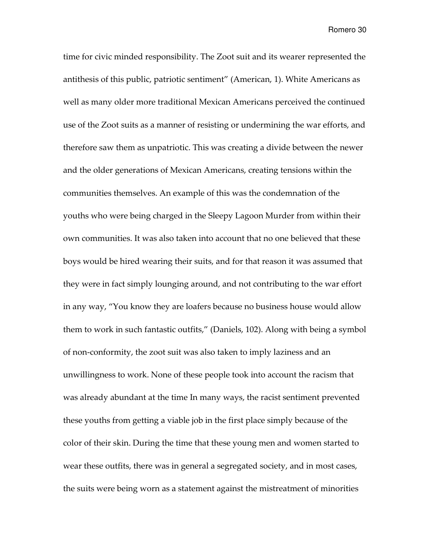time for civic minded responsibility. The Zoot suit and its wearer represented the antithesis of this public, patriotic sentiment" (American, 1). White Americans as well as many older more traditional Mexican Americans perceived the continued use of the Zoot suits as a manner of resisting or undermining the war efforts, and therefore saw them as unpatriotic. This was creating a divide between the newer and the older generations of Mexican Americans, creating tensions within the communities themselves. An example of this was the condemnation of the youths who were being charged in the Sleepy Lagoon Murder from within their own communities. It was also taken into account that no one believed that these boys would be hired wearing their suits, and for that reason it was assumed that they were in fact simply lounging around, and not contributing to the war effort in any way, "You know they are loafers because no business house would allow them to work in such fantastic outfits," (Daniels, 102). Along with being a symbol of non-conformity, the zoot suit was also taken to imply laziness and an unwillingness to work. None of these people took into account the racism that was already abundant at the time In many ways, the racist sentiment prevented these youths from getting a viable job in the first place simply because of the color of their skin. During the time that these young men and women started to wear these outfits, there was in general a segregated society, and in most cases, the suits were being worn as a statement against the mistreatment of minorities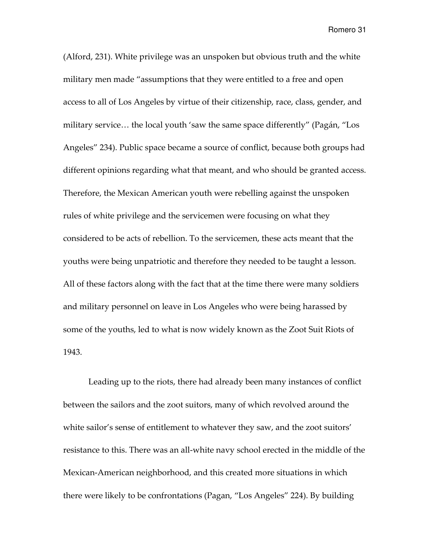(Alford, 231). White privilege was an unspoken but obvious truth and the white military men made "assumptions that they were entitled to a free and open access to all of Los Angeles by virtue of their citizenship, race, class, gender, and military service… the local youth 'saw the same space differently" (Pagán, "Los Angeles" 234). Public space became a source of conflict, because both groups had different opinions regarding what that meant, and who should be granted access. Therefore, the Mexican American youth were rebelling against the unspoken rules of white privilege and the servicemen were focusing on what they considered to be acts of rebellion. To the servicemen, these acts meant that the youths were being unpatriotic and therefore they needed to be taught a lesson. All of these factors along with the fact that at the time there were many soldiers and military personnel on leave in Los Angeles who were being harassed by some of the youths, led to what is now widely known as the Zoot Suit Riots of 1943.

Leading up to the riots, there had already been many instances of conflict between the sailors and the zoot suitors, many of which revolved around the white sailor's sense of entitlement to whatever they saw, and the zoot suitors' resistance to this. There was an all-white navy school erected in the middle of the Mexican-American neighborhood, and this created more situations in which there were likely to be confrontations (Pagan, "Los Angeles" 224). By building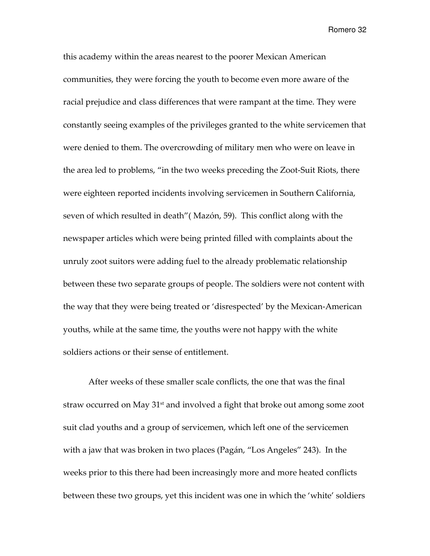this academy within the areas nearest to the poorer Mexican American communities, they were forcing the youth to become even more aware of the racial prejudice and class differences that were rampant at the time. They were constantly seeing examples of the privileges granted to the white servicemen that were denied to them. The overcrowding of military men who were on leave in the area led to problems, "in the two weeks preceding the Zoot-Suit Riots, there were eighteen reported incidents involving servicemen in Southern California, seven of which resulted in death"( Mazón, 59). This conflict along with the newspaper articles which were being printed filled with complaints about the unruly zoot suitors were adding fuel to the already problematic relationship between these two separate groups of people. The soldiers were not content with the way that they were being treated or 'disrespected' by the Mexican-American youths, while at the same time, the youths were not happy with the white soldiers actions or their sense of entitlement.

After weeks of these smaller scale conflicts, the one that was the final straw occurred on May 31<sup>st</sup> and involved a fight that broke out among some zoot suit clad youths and a group of servicemen, which left one of the servicemen with a jaw that was broken in two places (Pagán, "Los Angeles" 243). In the weeks prior to this there had been increasingly more and more heated conflicts between these two groups, yet this incident was one in which the 'white' soldiers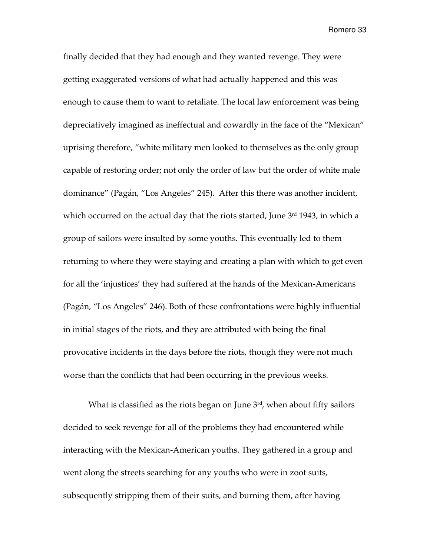finally decided that they had enough and they wanted revenge. They were getting exaggerated versions of what had actually happened and this was enough to cause them to want to retaliate. The local law enforcement was being depreciatively imagined as ineffectual and cowardly in the face of the "Mexican" uprising therefore, "white military men looked to themselves as the only group capable of restoring order; not only the order of law but the order of white male dominance" (Pagán, "Los Angeles" 245). After this there was another incident, which occurred on the actual day that the riots started, June  $3<sup>rd</sup>$  1943, in which a group of sailors were insulted by some youths. This eventually led to them returning to where they were staying and creating a plan with which to get even for all the 'injustices' they had suffered at the hands of the Mexican-Americans (Pagán, "Los Angeles" 246). Both of these confrontations were highly influential in initial stages of the riots, and they are attributed with being the final provocative incidents in the days before the riots, though they were not much worse than the conflicts that had been occurring in the previous weeks.

What is classified as the riots began on June  $3<sup>rd</sup>$ , when about fifty sailors decided to seek revenge for all of the problems they had encountered while interacting with the Mexican-American youths. They gathered in a group and went along the streets searching for any youths who were in zoot suits, subsequently stripping them of their suits, and burning them, after having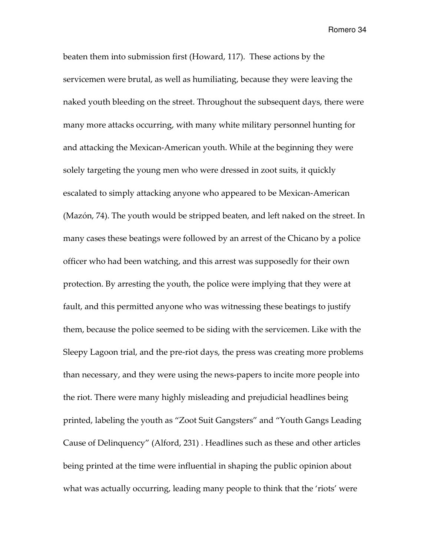beaten them into submission first (Howard, 117). These actions by the servicemen were brutal, as well as humiliating, because they were leaving the naked youth bleeding on the street. Throughout the subsequent days, there were many more attacks occurring, with many white military personnel hunting for and attacking the Mexican-American youth. While at the beginning they were solely targeting the young men who were dressed in zoot suits, it quickly escalated to simply attacking anyone who appeared to be Mexican-American (Mazón, 74). The youth would be stripped beaten, and left naked on the street. In many cases these beatings were followed by an arrest of the Chicano by a police officer who had been watching, and this arrest was supposedly for their own protection. By arresting the youth, the police were implying that they were at fault, and this permitted anyone who was witnessing these beatings to justify them, because the police seemed to be siding with the servicemen. Like with the Sleepy Lagoon trial, and the pre-riot days, the press was creating more problems than necessary, and they were using the news-papers to incite more people into the riot. There were many highly misleading and prejudicial headlines being printed, labeling the youth as "Zoot Suit Gangsters" and "Youth Gangs Leading Cause of Delinquency" (Alford, 231) . Headlines such as these and other articles being printed at the time were influential in shaping the public opinion about what was actually occurring, leading many people to think that the 'riots' were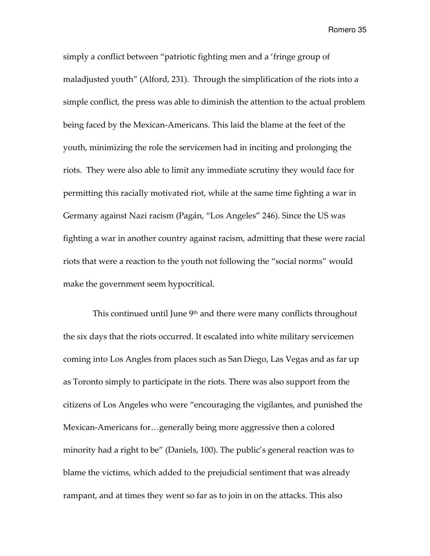simply a conflict between "patriotic fighting men and a 'fringe group of maladjusted youth" (Alford, 231). Through the simplification of the riots into a simple conflict, the press was able to diminish the attention to the actual problem being faced by the Mexican-Americans. This laid the blame at the feet of the youth, minimizing the role the servicemen had in inciting and prolonging the riots. They were also able to limit any immediate scrutiny they would face for permitting this racially motivated riot, while at the same time fighting a war in Germany against Nazi racism (Pagán, "Los Angeles" 246). Since the US was fighting a war in another country against racism, admitting that these were racial riots that were a reaction to the youth not following the "social norms" would make the government seem hypocritical.

This continued until June 9<sup>th</sup> and there were many conflicts throughout the six days that the riots occurred. It escalated into white military servicemen coming into Los Angles from places such as San Diego, Las Vegas and as far up as Toronto simply to participate in the riots. There was also support from the citizens of Los Angeles who were "encouraging the vigilantes, and punished the Mexican-Americans for…generally being more aggressive then a colored minority had a right to be" (Daniels, 100). The public's general reaction was to blame the victims, which added to the prejudicial sentiment that was already rampant, and at times they went so far as to join in on the attacks. This also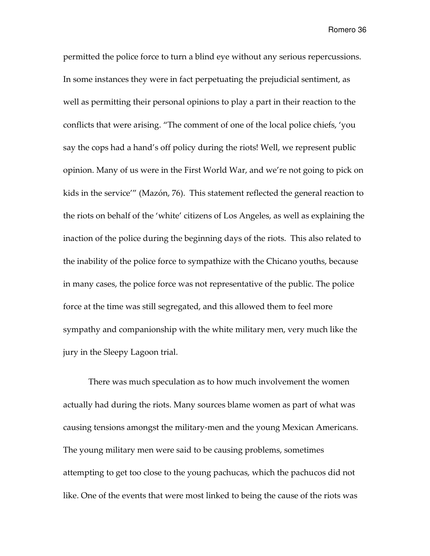permitted the police force to turn a blind eye without any serious repercussions. In some instances they were in fact perpetuating the prejudicial sentiment, as well as permitting their personal opinions to play a part in their reaction to the conflicts that were arising. "The comment of one of the local police chiefs, 'you say the cops had a hand's off policy during the riots! Well, we represent public opinion. Many of us were in the First World War, and we're not going to pick on kids in the service'" (Mazón, 76). This statement reflected the general reaction to the riots on behalf of the 'white' citizens of Los Angeles, as well as explaining the inaction of the police during the beginning days of the riots. This also related to the inability of the police force to sympathize with the Chicano youths, because in many cases, the police force was not representative of the public. The police force at the time was still segregated, and this allowed them to feel more sympathy and companionship with the white military men, very much like the jury in the Sleepy Lagoon trial.

There was much speculation as to how much involvement the women actually had during the riots. Many sources blame women as part of what was causing tensions amongst the military-men and the young Mexican Americans. The young military men were said to be causing problems, sometimes attempting to get too close to the young pachucas, which the pachucos did not like. One of the events that were most linked to being the cause of the riots was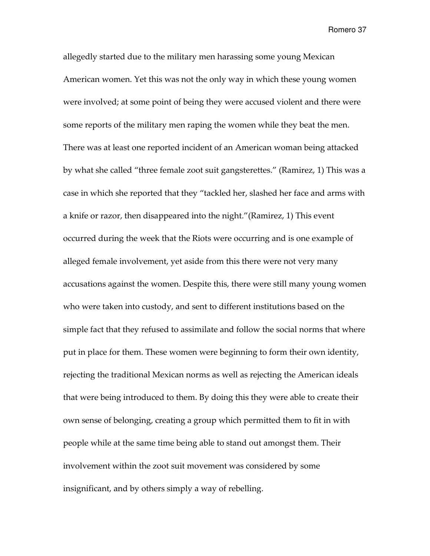allegedly started due to the military men harassing some young Mexican American women. Yet this was not the only way in which these young women were involved; at some point of being they were accused violent and there were some reports of the military men raping the women while they beat the men. There was at least one reported incident of an American woman being attacked by what she called "three female zoot suit gangsterettes." (Ramirez, 1) This was a case in which she reported that they "tackled her, slashed her face and arms with a knife or razor, then disappeared into the night."(Ramirez, 1) This event occurred during the week that the Riots were occurring and is one example of alleged female involvement, yet aside from this there were not very many accusations against the women. Despite this, there were still many young women who were taken into custody, and sent to different institutions based on the simple fact that they refused to assimilate and follow the social norms that where put in place for them. These women were beginning to form their own identity, rejecting the traditional Mexican norms as well as rejecting the American ideals that were being introduced to them. By doing this they were able to create their own sense of belonging, creating a group which permitted them to fit in with people while at the same time being able to stand out amongst them. Their involvement within the zoot suit movement was considered by some insignificant, and by others simply a way of rebelling.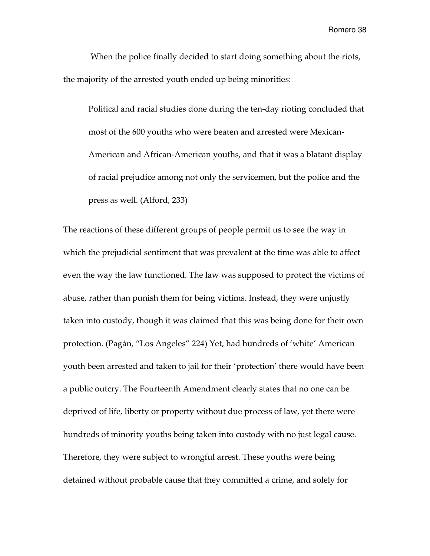When the police finally decided to start doing something about the riots, the majority of the arrested youth ended up being minorities:

Political and racial studies done during the ten-day rioting concluded that most of the 600 youths who were beaten and arrested were Mexican-American and African-American youths, and that it was a blatant display of racial prejudice among not only the servicemen, but the police and the press as well. (Alford, 233)

The reactions of these different groups of people permit us to see the way in which the prejudicial sentiment that was prevalent at the time was able to affect even the way the law functioned. The law was supposed to protect the victims of abuse, rather than punish them for being victims. Instead, they were unjustly taken into custody, though it was claimed that this was being done for their own protection. (Pagán, "Los Angeles" 224) Yet, had hundreds of 'white' American youth been arrested and taken to jail for their 'protection' there would have been a public outcry. The Fourteenth Amendment clearly states that no one can be deprived of life, liberty or property without due process of law, yet there were hundreds of minority youths being taken into custody with no just legal cause. Therefore, they were subject to wrongful arrest. These youths were being detained without probable cause that they committed a crime, and solely for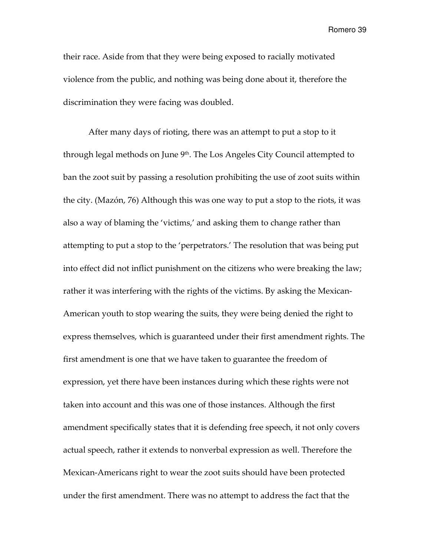their race. Aside from that they were being exposed to racially motivated violence from the public, and nothing was being done about it, therefore the discrimination they were facing was doubled.

 After many days of rioting, there was an attempt to put a stop to it through legal methods on June  $9<sup>th</sup>$ . The Los Angeles City Council attempted to ban the zoot suit by passing a resolution prohibiting the use of zoot suits within the city. (Mazón, 76) Although this was one way to put a stop to the riots, it was also a way of blaming the 'victims,' and asking them to change rather than attempting to put a stop to the 'perpetrators.' The resolution that was being put into effect did not inflict punishment on the citizens who were breaking the law; rather it was interfering with the rights of the victims. By asking the Mexican-American youth to stop wearing the suits, they were being denied the right to express themselves, which is guaranteed under their first amendment rights. The first amendment is one that we have taken to guarantee the freedom of expression, yet there have been instances during which these rights were not taken into account and this was one of those instances. Although the first amendment specifically states that it is defending free speech, it not only covers actual speech, rather it extends to nonverbal expression as well. Therefore the Mexican-Americans right to wear the zoot suits should have been protected under the first amendment. There was no attempt to address the fact that the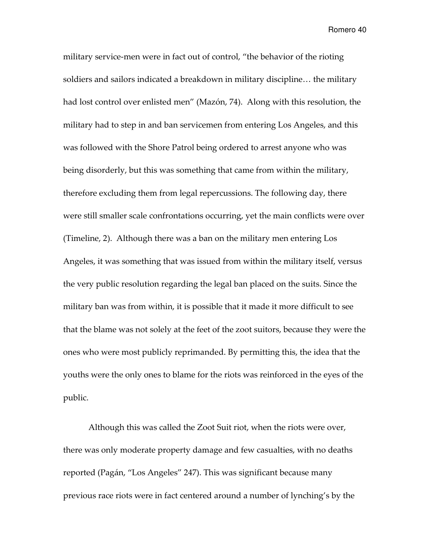military service-men were in fact out of control, "the behavior of the rioting soldiers and sailors indicated a breakdown in military discipline… the military had lost control over enlisted men" (Mazón, 74). Along with this resolution, the military had to step in and ban servicemen from entering Los Angeles, and this was followed with the Shore Patrol being ordered to arrest anyone who was being disorderly, but this was something that came from within the military, therefore excluding them from legal repercussions. The following day, there were still smaller scale confrontations occurring, yet the main conflicts were over (Timeline, 2). Although there was a ban on the military men entering Los Angeles, it was something that was issued from within the military itself, versus the very public resolution regarding the legal ban placed on the suits. Since the military ban was from within, it is possible that it made it more difficult to see that the blame was not solely at the feet of the zoot suitors, because they were the ones who were most publicly reprimanded. By permitting this, the idea that the youths were the only ones to blame for the riots was reinforced in the eyes of the public.

 Although this was called the Zoot Suit riot, when the riots were over, there was only moderate property damage and few casualties, with no deaths reported (Pagán, "Los Angeles" 247). This was significant because many previous race riots were in fact centered around a number of lynching's by the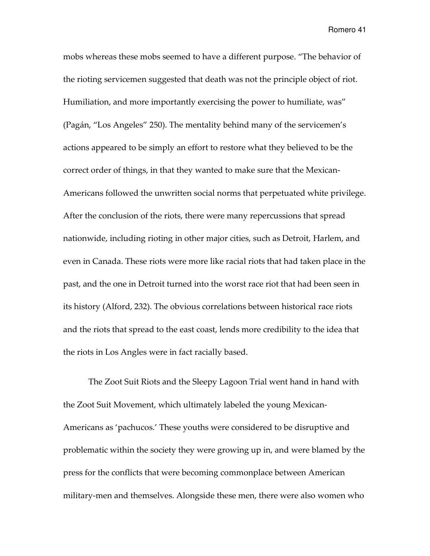mobs whereas these mobs seemed to have a different purpose. "The behavior of the rioting servicemen suggested that death was not the principle object of riot. Humiliation, and more importantly exercising the power to humiliate, was" (Pagán, "Los Angeles" 250). The mentality behind many of the servicemen's actions appeared to be simply an effort to restore what they believed to be the correct order of things, in that they wanted to make sure that the Mexican-Americans followed the unwritten social norms that perpetuated white privilege. After the conclusion of the riots, there were many repercussions that spread nationwide, including rioting in other major cities, such as Detroit, Harlem, and even in Canada. These riots were more like racial riots that had taken place in the past, and the one in Detroit turned into the worst race riot that had been seen in its history (Alford, 232). The obvious correlations between historical race riots and the riots that spread to the east coast, lends more credibility to the idea that the riots in Los Angles were in fact racially based.

The Zoot Suit Riots and the Sleepy Lagoon Trial went hand in hand with the Zoot Suit Movement, which ultimately labeled the young Mexican-Americans as 'pachucos.' These youths were considered to be disruptive and problematic within the society they were growing up in, and were blamed by the press for the conflicts that were becoming commonplace between American military-men and themselves. Alongside these men, there were also women who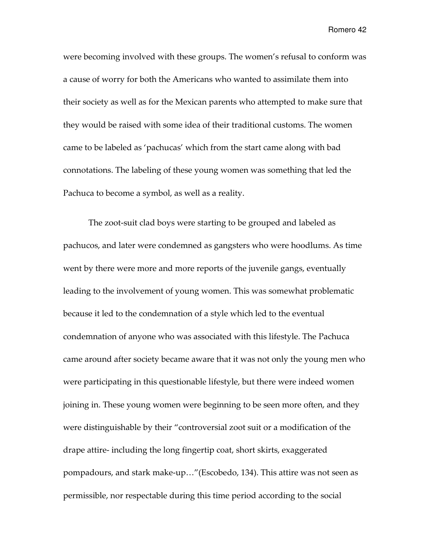were becoming involved with these groups. The women's refusal to conform was a cause of worry for both the Americans who wanted to assimilate them into their society as well as for the Mexican parents who attempted to make sure that they would be raised with some idea of their traditional customs. The women came to be labeled as 'pachucas' which from the start came along with bad connotations. The labeling of these young women was something that led the Pachuca to become a symbol, as well as a reality.

 The zoot-suit clad boys were starting to be grouped and labeled as pachucos, and later were condemned as gangsters who were hoodlums. As time went by there were more and more reports of the juvenile gangs, eventually leading to the involvement of young women. This was somewhat problematic because it led to the condemnation of a style which led to the eventual condemnation of anyone who was associated with this lifestyle. The Pachuca came around after society became aware that it was not only the young men who were participating in this questionable lifestyle, but there were indeed women joining in. These young women were beginning to be seen more often, and they were distinguishable by their "controversial zoot suit or a modification of the drape attire- including the long fingertip coat, short skirts, exaggerated pompadours, and stark make-up…"(Escobedo, 134). This attire was not seen as permissible, nor respectable during this time period according to the social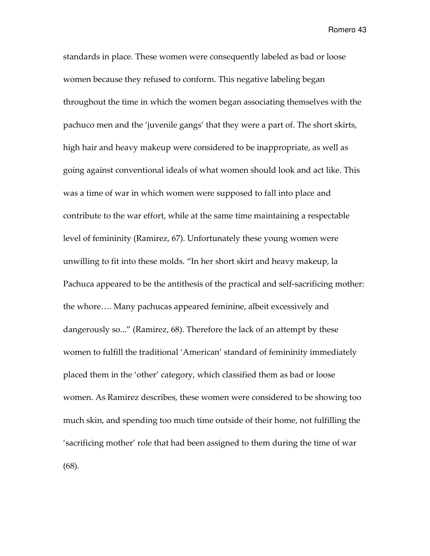standards in place. These women were consequently labeled as bad or loose women because they refused to conform. This negative labeling began throughout the time in which the women began associating themselves with the pachuco men and the 'juvenile gangs' that they were a part of. The short skirts, high hair and heavy makeup were considered to be inappropriate, as well as going against conventional ideals of what women should look and act like. This was a time of war in which women were supposed to fall into place and contribute to the war effort, while at the same time maintaining a respectable level of femininity (Ramirez, 67). Unfortunately these young women were unwilling to fit into these molds. "In her short skirt and heavy makeup, la Pachuca appeared to be the antithesis of the practical and self-sacrificing mother: the whore…. Many pachucas appeared feminine, albeit excessively and dangerously so..." (Ramirez, 68). Therefore the lack of an attempt by these women to fulfill the traditional 'American' standard of femininity immediately placed them in the 'other' category, which classified them as bad or loose women. As Ramirez describes, these women were considered to be showing too much skin, and spending too much time outside of their home, not fulfilling the 'sacrificing mother' role that had been assigned to them during the time of war (68).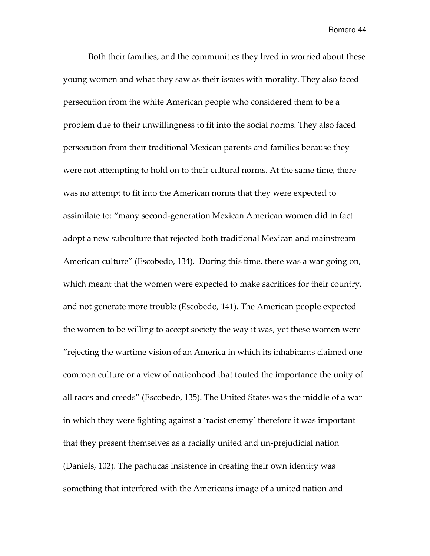Both their families, and the communities they lived in worried about these young women and what they saw as their issues with morality. They also faced persecution from the white American people who considered them to be a problem due to their unwillingness to fit into the social norms. They also faced persecution from their traditional Mexican parents and families because they were not attempting to hold on to their cultural norms. At the same time, there was no attempt to fit into the American norms that they were expected to assimilate to: "many second-generation Mexican American women did in fact adopt a new subculture that rejected both traditional Mexican and mainstream American culture" (Escobedo, 134). During this time, there was a war going on, which meant that the women were expected to make sacrifices for their country, and not generate more trouble (Escobedo, 141). The American people expected the women to be willing to accept society the way it was, yet these women were "rejecting the wartime vision of an America in which its inhabitants claimed one common culture or a view of nationhood that touted the importance the unity of all races and creeds" (Escobedo, 135). The United States was the middle of a war in which they were fighting against a 'racist enemy' therefore it was important that they present themselves as a racially united and un-prejudicial nation (Daniels, 102). The pachucas insistence in creating their own identity was something that interfered with the Americans image of a united nation and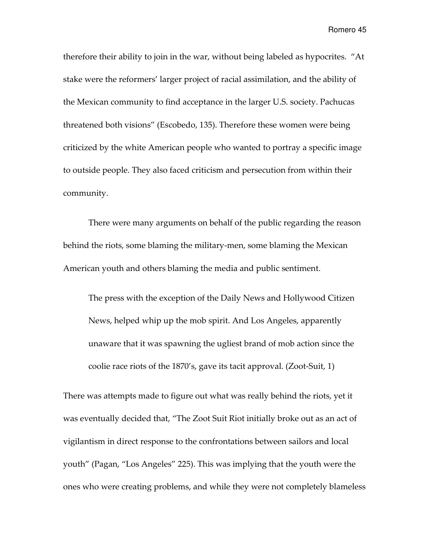therefore their ability to join in the war, without being labeled as hypocrites. "At stake were the reformers' larger project of racial assimilation, and the ability of the Mexican community to find acceptance in the larger U.S. society. Pachucas threatened both visions" (Escobedo, 135). Therefore these women were being criticized by the white American people who wanted to portray a specific image to outside people. They also faced criticism and persecution from within their community.

There were many arguments on behalf of the public regarding the reason behind the riots, some blaming the military-men, some blaming the Mexican American youth and others blaming the media and public sentiment.

The press with the exception of the Daily News and Hollywood Citizen News, helped whip up the mob spirit. And Los Angeles, apparently unaware that it was spawning the ugliest brand of mob action since the coolie race riots of the 1870's, gave its tacit approval. (Zoot-Suit, 1)

There was attempts made to figure out what was really behind the riots, yet it was eventually decided that, "The Zoot Suit Riot initially broke out as an act of vigilantism in direct response to the confrontations between sailors and local youth" (Pagan, "Los Angeles" 225). This was implying that the youth were the ones who were creating problems, and while they were not completely blameless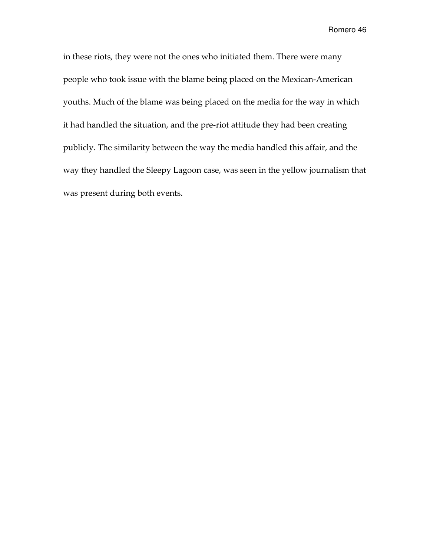in these riots, they were not the ones who initiated them. There were many people who took issue with the blame being placed on the Mexican-American youths. Much of the blame was being placed on the media for the way in which it had handled the situation, and the pre-riot attitude they had been creating publicly. The similarity between the way the media handled this affair, and the way they handled the Sleepy Lagoon case, was seen in the yellow journalism that was present during both events.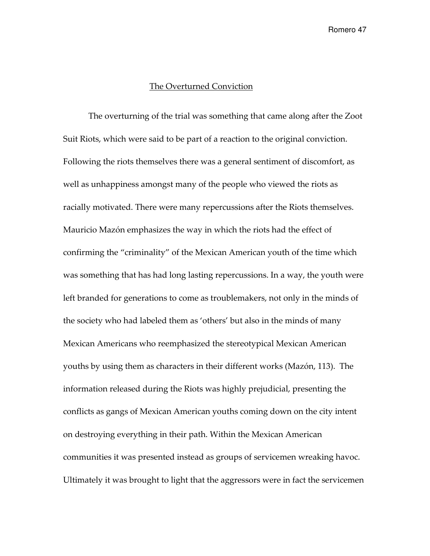## The Overturned Conviction

The overturning of the trial was something that came along after the Zoot Suit Riots, which were said to be part of a reaction to the original conviction. Following the riots themselves there was a general sentiment of discomfort, as well as unhappiness amongst many of the people who viewed the riots as racially motivated. There were many repercussions after the Riots themselves. Mauricio Mazón emphasizes the way in which the riots had the effect of confirming the "criminality" of the Mexican American youth of the time which was something that has had long lasting repercussions. In a way, the youth were left branded for generations to come as troublemakers, not only in the minds of the society who had labeled them as 'others' but also in the minds of many Mexican Americans who reemphasized the stereotypical Mexican American youths by using them as characters in their different works (Mazón, 113). The information released during the Riots was highly prejudicial, presenting the conflicts as gangs of Mexican American youths coming down on the city intent on destroying everything in their path. Within the Mexican American communities it was presented instead as groups of servicemen wreaking havoc. Ultimately it was brought to light that the aggressors were in fact the servicemen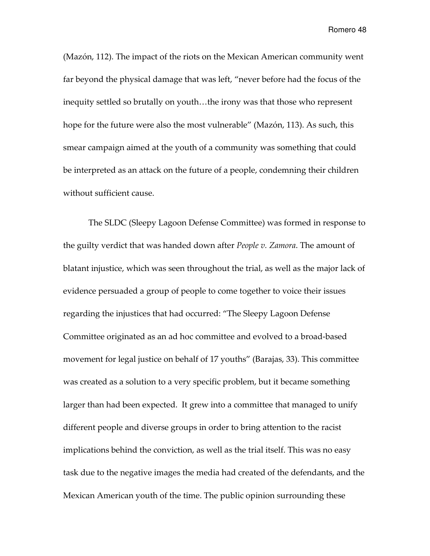(Mazón, 112). The impact of the riots on the Mexican American community went far beyond the physical damage that was left, "never before had the focus of the inequity settled so brutally on youth…the irony was that those who represent hope for the future were also the most vulnerable" (Mazón, 113). As such, this smear campaign aimed at the youth of a community was something that could be interpreted as an attack on the future of a people, condemning their children without sufficient cause.

The SLDC (Sleepy Lagoon Defense Committee) was formed in response to the guilty verdict that was handed down after *People v. Zamora*. The amount of blatant injustice, which was seen throughout the trial, as well as the major lack of evidence persuaded a group of people to come together to voice their issues regarding the injustices that had occurred: "The Sleepy Lagoon Defense Committee originated as an ad hoc committee and evolved to a broad-based movement for legal justice on behalf of 17 youths" (Barajas, 33). This committee was created as a solution to a very specific problem, but it became something larger than had been expected. It grew into a committee that managed to unify different people and diverse groups in order to bring attention to the racist implications behind the conviction, as well as the trial itself. This was no easy task due to the negative images the media had created of the defendants, and the Mexican American youth of the time. The public opinion surrounding these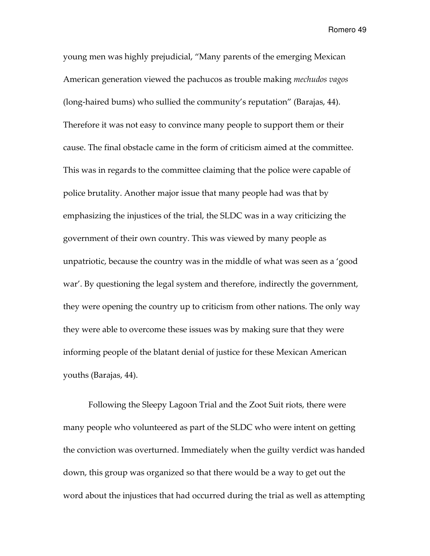young men was highly prejudicial, "Many parents of the emerging Mexican American generation viewed the pachucos as trouble making *mechudos vagos* (long-haired bums) who sullied the community's reputation" (Barajas, 44). Therefore it was not easy to convince many people to support them or their cause. The final obstacle came in the form of criticism aimed at the committee. This was in regards to the committee claiming that the police were capable of police brutality. Another major issue that many people had was that by emphasizing the injustices of the trial, the SLDC was in a way criticizing the government of their own country. This was viewed by many people as unpatriotic, because the country was in the middle of what was seen as a 'good war'. By questioning the legal system and therefore, indirectly the government, they were opening the country up to criticism from other nations. The only way they were able to overcome these issues was by making sure that they were informing people of the blatant denial of justice for these Mexican American youths (Barajas, 44).

Following the Sleepy Lagoon Trial and the Zoot Suit riots, there were many people who volunteered as part of the SLDC who were intent on getting the conviction was overturned. Immediately when the guilty verdict was handed down, this group was organized so that there would be a way to get out the word about the injustices that had occurred during the trial as well as attempting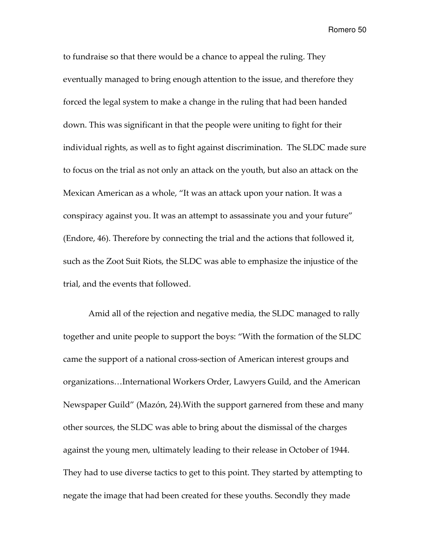to fundraise so that there would be a chance to appeal the ruling. They eventually managed to bring enough attention to the issue, and therefore they forced the legal system to make a change in the ruling that had been handed down. This was significant in that the people were uniting to fight for their individual rights, as well as to fight against discrimination. The SLDC made sure to focus on the trial as not only an attack on the youth, but also an attack on the Mexican American as a whole, "It was an attack upon your nation. It was a conspiracy against you. It was an attempt to assassinate you and your future" (Endore, 46). Therefore by connecting the trial and the actions that followed it, such as the Zoot Suit Riots, the SLDC was able to emphasize the injustice of the trial, and the events that followed.

Amid all of the rejection and negative media, the SLDC managed to rally together and unite people to support the boys: "With the formation of the SLDC came the support of a national cross-section of American interest groups and organizations…International Workers Order, Lawyers Guild, and the American Newspaper Guild" (Mazón, 24).With the support garnered from these and many other sources, the SLDC was able to bring about the dismissal of the charges against the young men, ultimately leading to their release in October of 1944. They had to use diverse tactics to get to this point. They started by attempting to negate the image that had been created for these youths. Secondly they made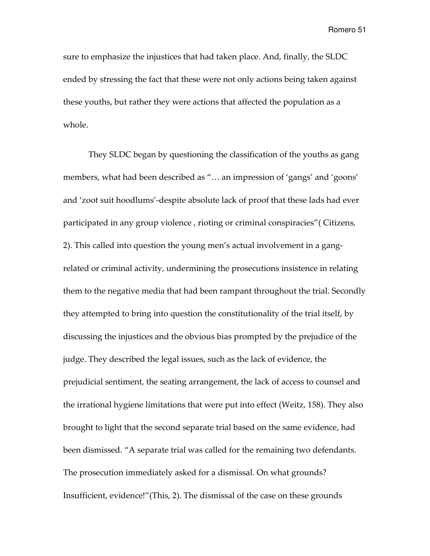sure to emphasize the injustices that had taken place. And, finally, the SLDC ended by stressing the fact that these were not only actions being taken against these youths, but rather they were actions that affected the population as a whole.

They SLDC began by questioning the classification of the youths as gang members, what had been described as "… an impression of 'gangs' and 'goons' and 'zoot suit hoodlums'-despite absolute lack of proof that these lads had ever participated in any group violence , rioting or criminal conspiracies"( Citizens, 2). This called into question the young men's actual involvement in a gangrelated or criminal activity, undermining the prosecutions insistence in relating them to the negative media that had been rampant throughout the trial. Secondly they attempted to bring into question the constitutionality of the trial itself, by discussing the injustices and the obvious bias prompted by the prejudice of the judge. They described the legal issues, such as the lack of evidence, the prejudicial sentiment, the seating arrangement, the lack of access to counsel and the irrational hygiene limitations that were put into effect (Weitz, 158). They also brought to light that the second separate trial based on the same evidence, had been dismissed. "A separate trial was called for the remaining two defendants. The prosecution immediately asked for a dismissal. On what grounds? Insufficient, evidence!"(This, 2). The dismissal of the case on these grounds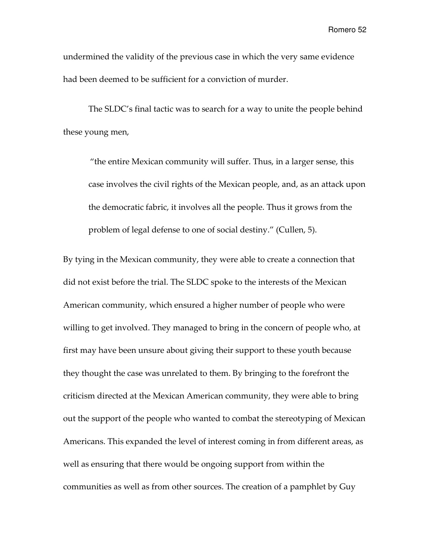undermined the validity of the previous case in which the very same evidence had been deemed to be sufficient for a conviction of murder.

The SLDC's final tactic was to search for a way to unite the people behind these young men,

"the entire Mexican community will suffer. Thus, in a larger sense, this case involves the civil rights of the Mexican people, and, as an attack upon the democratic fabric, it involves all the people. Thus it grows from the problem of legal defense to one of social destiny." (Cullen, 5).

By tying in the Mexican community, they were able to create a connection that did not exist before the trial. The SLDC spoke to the interests of the Mexican American community, which ensured a higher number of people who were willing to get involved. They managed to bring in the concern of people who, at first may have been unsure about giving their support to these youth because they thought the case was unrelated to them. By bringing to the forefront the criticism directed at the Mexican American community, they were able to bring out the support of the people who wanted to combat the stereotyping of Mexican Americans. This expanded the level of interest coming in from different areas, as well as ensuring that there would be ongoing support from within the communities as well as from other sources. The creation of a pamphlet by Guy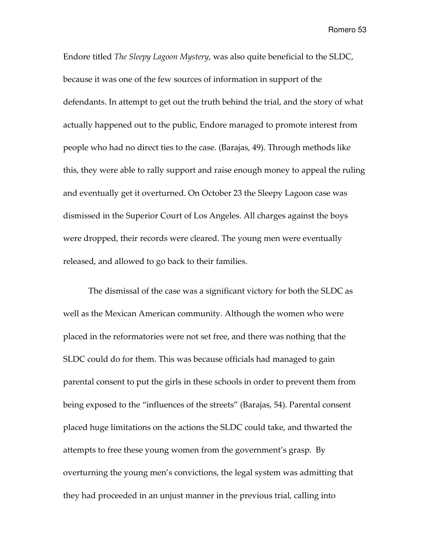Endore titled The Sleepy Lagoon Mystery, was also quite beneficial to the SLDC, because it was one of the few sources of information in support of the defendants. In attempt to get out the truth behind the trial, and the story of what actually happened out to the public, Endore managed to promote interest from people who had no direct ties to the case. (Barajas, 49). Through methods like this, they were able to rally support and raise enough money to appeal the ruling and eventually get it overturned. On October 23 the Sleepy Lagoon case was dismissed in the Superior Court of Los Angeles. All charges against the boys were dropped, their records were cleared. The young men were eventually released, and allowed to go back to their families.

The dismissal of the case was a significant victory for both the SLDC as well as the Mexican American community. Although the women who were placed in the reformatories were not set free, and there was nothing that the SLDC could do for them. This was because officials had managed to gain parental consent to put the girls in these schools in order to prevent them from being exposed to the "influences of the streets" (Barajas, 54). Parental consent placed huge limitations on the actions the SLDC could take, and thwarted the attempts to free these young women from the government's grasp. By overturning the young men's convictions, the legal system was admitting that they had proceeded in an unjust manner in the previous trial, calling into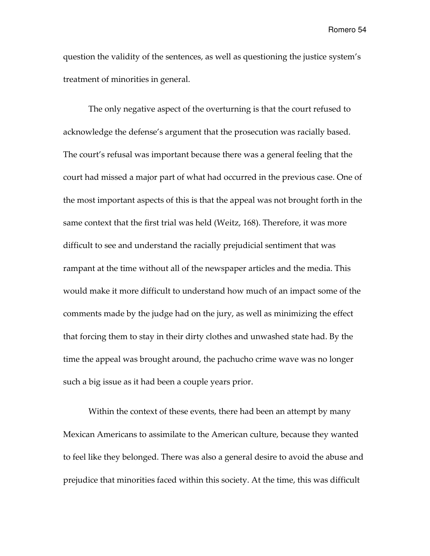question the validity of the sentences, as well as questioning the justice system's treatment of minorities in general.

The only negative aspect of the overturning is that the court refused to acknowledge the defense's argument that the prosecution was racially based. The court's refusal was important because there was a general feeling that the court had missed a major part of what had occurred in the previous case. One of the most important aspects of this is that the appeal was not brought forth in the same context that the first trial was held (Weitz, 168). Therefore, it was more difficult to see and understand the racially prejudicial sentiment that was rampant at the time without all of the newspaper articles and the media. This would make it more difficult to understand how much of an impact some of the comments made by the judge had on the jury, as well as minimizing the effect that forcing them to stay in their dirty clothes and unwashed state had. By the time the appeal was brought around, the pachucho crime wave was no longer such a big issue as it had been a couple years prior.

Within the context of these events, there had been an attempt by many Mexican Americans to assimilate to the American culture, because they wanted to feel like they belonged. There was also a general desire to avoid the abuse and prejudice that minorities faced within this society. At the time, this was difficult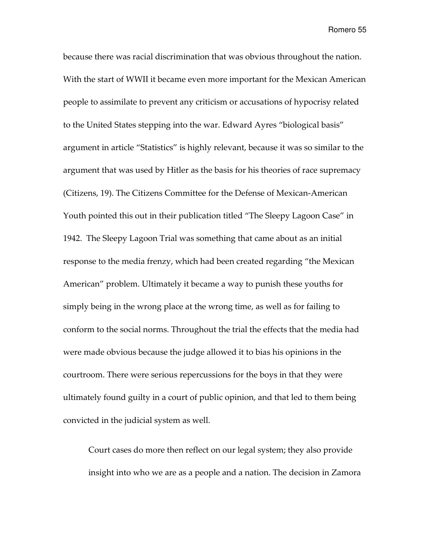because there was racial discrimination that was obvious throughout the nation. With the start of WWII it became even more important for the Mexican American people to assimilate to prevent any criticism or accusations of hypocrisy related to the United States stepping into the war. Edward Ayres "biological basis" argument in article "Statistics" is highly relevant, because it was so similar to the argument that was used by Hitler as the basis for his theories of race supremacy (Citizens, 19). The Citizens Committee for the Defense of Mexican-American Youth pointed this out in their publication titled "The Sleepy Lagoon Case" in 1942. The Sleepy Lagoon Trial was something that came about as an initial response to the media frenzy, which had been created regarding "the Mexican American" problem. Ultimately it became a way to punish these youths for simply being in the wrong place at the wrong time, as well as for failing to conform to the social norms. Throughout the trial the effects that the media had were made obvious because the judge allowed it to bias his opinions in the courtroom. There were serious repercussions for the boys in that they were ultimately found guilty in a court of public opinion, and that led to them being convicted in the judicial system as well.

Court cases do more then reflect on our legal system; they also provide insight into who we are as a people and a nation. The decision in Zamora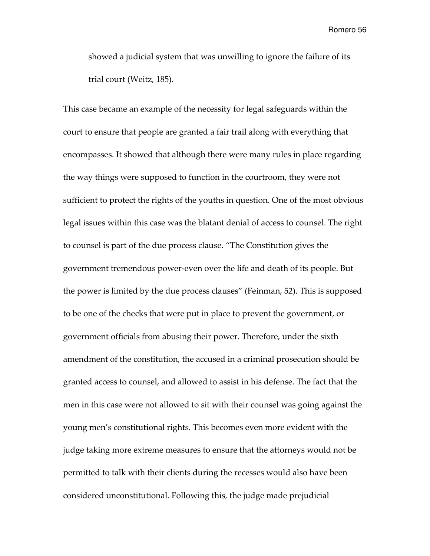showed a judicial system that was unwilling to ignore the failure of its trial court (Weitz, 185).

This case became an example of the necessity for legal safeguards within the court to ensure that people are granted a fair trail along with everything that encompasses. It showed that although there were many rules in place regarding the way things were supposed to function in the courtroom, they were not sufficient to protect the rights of the youths in question. One of the most obvious legal issues within this case was the blatant denial of access to counsel. The right to counsel is part of the due process clause. "The Constitution gives the government tremendous power-even over the life and death of its people. But the power is limited by the due process clauses" (Feinman, 52). This is supposed to be one of the checks that were put in place to prevent the government, or government officials from abusing their power. Therefore, under the sixth amendment of the constitution, the accused in a criminal prosecution should be granted access to counsel, and allowed to assist in his defense. The fact that the men in this case were not allowed to sit with their counsel was going against the young men's constitutional rights. This becomes even more evident with the judge taking more extreme measures to ensure that the attorneys would not be permitted to talk with their clients during the recesses would also have been considered unconstitutional. Following this, the judge made prejudicial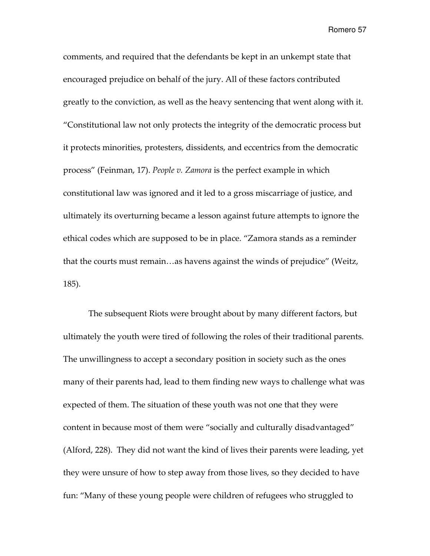comments, and required that the defendants be kept in an unkempt state that encouraged prejudice on behalf of the jury. All of these factors contributed greatly to the conviction, as well as the heavy sentencing that went along with it. "Constitutional law not only protects the integrity of the democratic process but it protects minorities, protesters, dissidents, and eccentrics from the democratic process" (Feinman, 17). People v. Zamora is the perfect example in which constitutional law was ignored and it led to a gross miscarriage of justice, and ultimately its overturning became a lesson against future attempts to ignore the ethical codes which are supposed to be in place. "Zamora stands as a reminder that the courts must remain…as havens against the winds of prejudice" (Weitz, 185).

The subsequent Riots were brought about by many different factors, but ultimately the youth were tired of following the roles of their traditional parents. The unwillingness to accept a secondary position in society such as the ones many of their parents had, lead to them finding new ways to challenge what was expected of them. The situation of these youth was not one that they were content in because most of them were "socially and culturally disadvantaged" (Alford, 228). They did not want the kind of lives their parents were leading, yet they were unsure of how to step away from those lives, so they decided to have fun: "Many of these young people were children of refugees who struggled to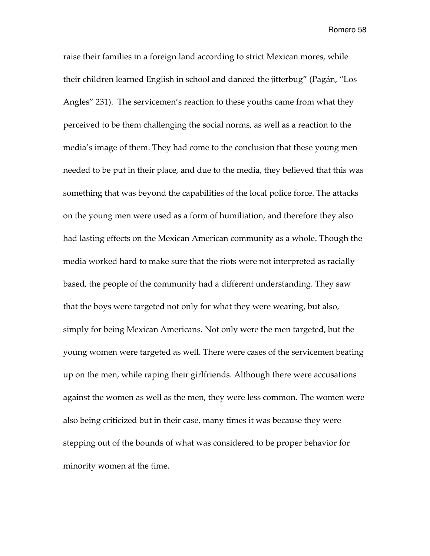raise their families in a foreign land according to strict Mexican mores, while their children learned English in school and danced the jitterbug" (Pagán, "Los Angles" 231). The servicemen's reaction to these youths came from what they perceived to be them challenging the social norms, as well as a reaction to the media's image of them. They had come to the conclusion that these young men needed to be put in their place, and due to the media, they believed that this was something that was beyond the capabilities of the local police force. The attacks on the young men were used as a form of humiliation, and therefore they also had lasting effects on the Mexican American community as a whole. Though the media worked hard to make sure that the riots were not interpreted as racially based, the people of the community had a different understanding. They saw that the boys were targeted not only for what they were wearing, but also, simply for being Mexican Americans. Not only were the men targeted, but the young women were targeted as well. There were cases of the servicemen beating up on the men, while raping their girlfriends. Although there were accusations against the women as well as the men, they were less common. The women were also being criticized but in their case, many times it was because they were stepping out of the bounds of what was considered to be proper behavior for minority women at the time.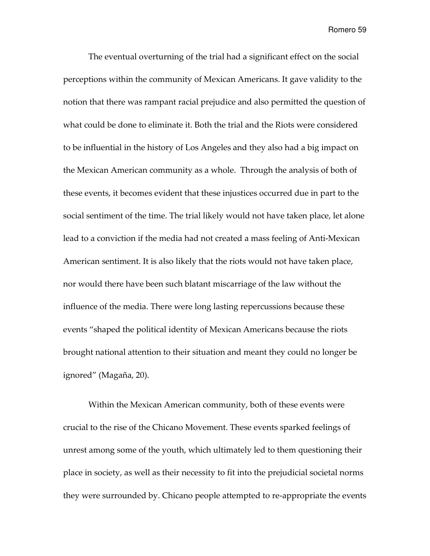The eventual overturning of the trial had a significant effect on the social perceptions within the community of Mexican Americans. It gave validity to the notion that there was rampant racial prejudice and also permitted the question of what could be done to eliminate it. Both the trial and the Riots were considered to be influential in the history of Los Angeles and they also had a big impact on the Mexican American community as a whole. Through the analysis of both of these events, it becomes evident that these injustices occurred due in part to the social sentiment of the time. The trial likely would not have taken place, let alone lead to a conviction if the media had not created a mass feeling of Anti-Mexican American sentiment. It is also likely that the riots would not have taken place, nor would there have been such blatant miscarriage of the law without the influence of the media. There were long lasting repercussions because these events "shaped the political identity of Mexican Americans because the riots brought national attention to their situation and meant they could no longer be ignored" (Magaña, 20).

Within the Mexican American community, both of these events were crucial to the rise of the Chicano Movement. These events sparked feelings of unrest among some of the youth, which ultimately led to them questioning their place in society, as well as their necessity to fit into the prejudicial societal norms they were surrounded by. Chicano people attempted to re-appropriate the events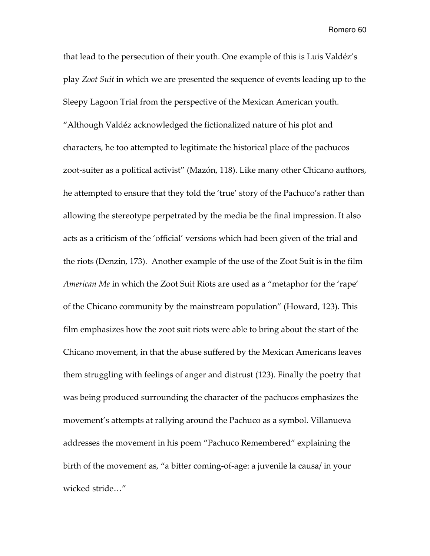that lead to the persecution of their youth. One example of this is Luis Valdéz's play Zoot Suit in which we are presented the sequence of events leading up to the Sleepy Lagoon Trial from the perspective of the Mexican American youth. "Although Valdéz acknowledged the fictionalized nature of his plot and characters, he too attempted to legitimate the historical place of the pachucos zoot-suiter as a political activist" (Mazón, 118). Like many other Chicano authors, he attempted to ensure that they told the 'true' story of the Pachuco's rather than allowing the stereotype perpetrated by the media be the final impression. It also acts as a criticism of the 'official' versions which had been given of the trial and the riots (Denzin, 173). Another example of the use of the Zoot Suit is in the film American Me in which the Zoot Suit Riots are used as a "metaphor for the 'rape' of the Chicano community by the mainstream population" (Howard, 123). This film emphasizes how the zoot suit riots were able to bring about the start of the Chicano movement, in that the abuse suffered by the Mexican Americans leaves them struggling with feelings of anger and distrust (123). Finally the poetry that was being produced surrounding the character of the pachucos emphasizes the movement's attempts at rallying around the Pachuco as a symbol. Villanueva addresses the movement in his poem "Pachuco Remembered" explaining the birth of the movement as, "a bitter coming-of-age: a juvenile la causa/ in your wicked stride…"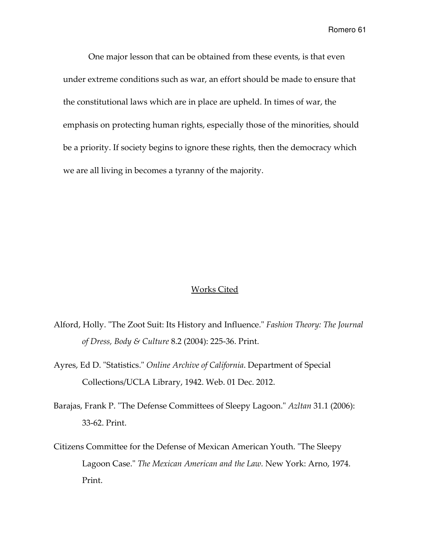One major lesson that can be obtained from these events, is that even under extreme conditions such as war, an effort should be made to ensure that the constitutional laws which are in place are upheld. In times of war, the emphasis on protecting human rights, especially those of the minorities, should be a priority. If society begins to ignore these rights, then the democracy which we are all living in becomes a tyranny of the majority.

### Works Cited

- Alford, Holly. "The Zoot Suit: Its History and Influence." Fashion Theory: The Journal of Dress, Body & Culture 8.2 (2004): 225-36. Print.
- Ayres, Ed D. "Statistics." Online Archive of California. Department of Special Collections/UCLA Library, 1942. Web. 01 Dec. 2012.
- Barajas, Frank P. "The Defense Committees of Sleepy Lagoon." Azltan 31.1 (2006): 33-62. Print.
- Citizens Committee for the Defense of Mexican American Youth. "The Sleepy Lagoon Case." The Mexican American and the Law. New York: Arno, 1974. Print.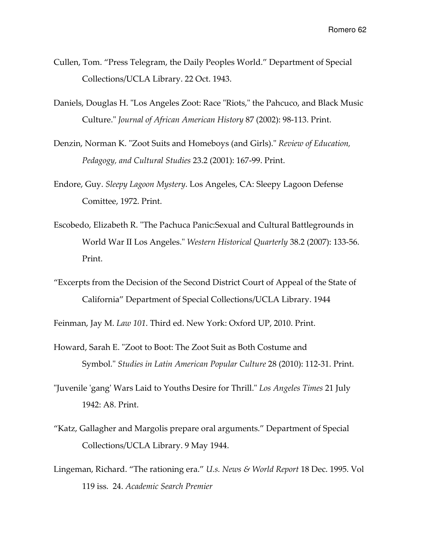- Cullen, Tom. "Press Telegram, the Daily Peoples World." Department of Special Collections/UCLA Library. 22 Oct. 1943.
- Daniels, Douglas H. "Los Angeles Zoot: Race "Riots," the Pahcuco, and Black Music Culture." Journal of African American History 87 (2002): 98-113. Print.
- Denzin, Norman K. "Zoot Suits and Homeboys (and Girls)." Review of Education, Pedagogy, and Cultural Studies 23.2 (2001): 167-99. Print.
- Endore, Guy. Sleepy Lagoon Mystery. Los Angeles, CA: Sleepy Lagoon Defense Comittee, 1972. Print.
- Escobedo, Elizabeth R. "The Pachuca Panic:Sexual and Cultural Battlegrounds in World War II Los Angeles." Western Historical Quarterly 38.2 (2007): 133-56. Print.
- "Excerpts from the Decision of the Second District Court of Appeal of the State of California" Department of Special Collections/UCLA Library. 1944

Feinman, Jay M. Law 101. Third ed. New York: Oxford UP, 2010. Print.

- Howard, Sarah E. "Zoot to Boot: The Zoot Suit as Both Costume and Symbol." Studies in Latin American Popular Culture 28 (2010): 112-31. Print.
- "Juvenile 'gang' Wars Laid to Youths Desire for Thrill." Los Angeles Times 21 July 1942: A8. Print.
- "Katz, Gallagher and Margolis prepare oral arguments." Department of Special Collections/UCLA Library. 9 May 1944.
- Lingeman, Richard. "The rationing era." U.s. News & World Report 18 Dec. 1995. Vol 119 iss. 24. Academic Search Premier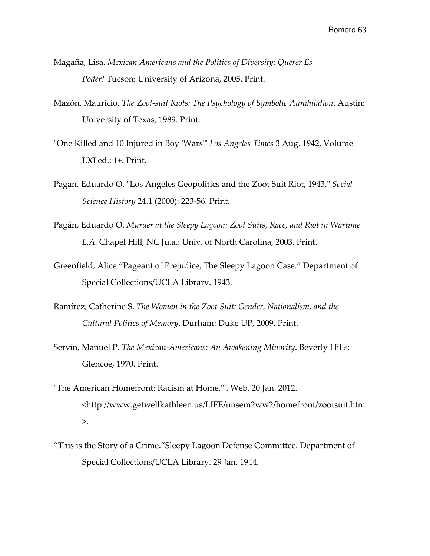- Magaña, Lisa. Mexican Americans and the Politics of Diversity: Querer Es Poder! Tucson: University of Arizona, 2005. Print.
- Mazón, Mauricio. The Zoot-suit Riots: The Psychology of Symbolic Annihilation. Austin: University of Texas, 1989. Print.
- "One Killed and 10 Injured in Boy 'Wars'" Los Angeles Times 3 Aug. 1942, Volume LXI ed.: 1+. Print.
- Pagán, Eduardo O. "Los Angeles Geopolitics and the Zoot Suit Riot, 1943." Social Science History 24.1 (2000): 223-56. Print.
- Pagán, Eduardo O. Murder at the Sleepy Lagoon: Zoot Suits, Race, and Riot in Wartime L.A. Chapel Hill, NC [u.a.: Univ. of North Carolina, 2003. Print.
- Greenfield, Alice."Pageant of Prejudice, The Sleepy Lagoon Case." Department of Special Collections/UCLA Library. 1943.
- Ramírez, Catherine S. The Woman in the Zoot Suit: Gender, Nationalism, and the Cultural Politics of Memory. Durham: Duke UP, 2009. Print.
- Servín, Manuel P. The Mexican-Americans: An Awakening Minority. Beverly Hills: Glencoe, 1970. Print.
- "The American Homefront: Racism at Home." . Web. 20 Jan. 2012. <http://www.getwellkathleen.us/LIFE/unsem2ww2/homefront/zootsuit.htm >.
- "This is the Story of a Crime."Sleepy Lagoon Defense Committee. Department of Special Collections/UCLA Library. 29 Jan. 1944.